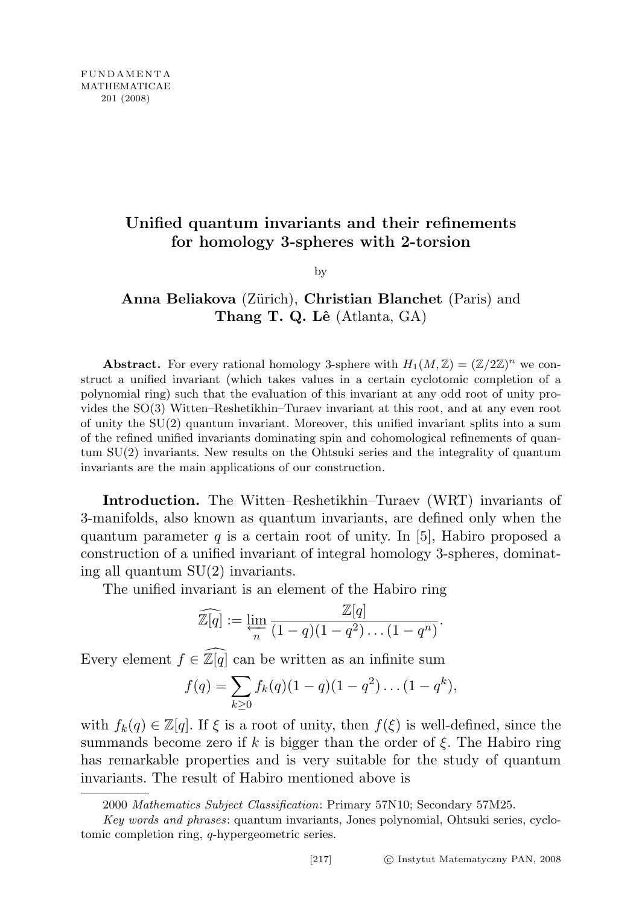## Unified quantum invariants and their refinements for homology 3-spheres with 2-torsion

by

## Anna Beliakova (Zürich), Christian Blanchet (Paris) and Thang T. Q. Lê (Atlanta, GA)

**Abstract.** For every rational homology 3-sphere with  $H_1(M, \mathbb{Z}) = (\mathbb{Z}/2\mathbb{Z})^n$  we construct a unified invariant (which takes values in a certain cyclotomic completion of a polynomial ring) such that the evaluation of this invariant at any odd root of unity provides the SO(3) Witten–Reshetikhin–Turaev invariant at this root, and at any even root of unity the SU(2) quantum invariant. Moreover, this unified invariant splits into a sum of the refined unified invariants dominating spin and cohomological refinements of quantum SU(2) invariants. New results on the Ohtsuki series and the integrality of quantum invariants are the main applications of our construction.

Introduction. The Witten–Reshetikhin–Turaev (WRT) invariants of 3-manifolds, also known as quantum invariants, are defined only when the quantum parameter  $q$  is a certain root of unity. In [5], Habiro proposed a construction of a unified invariant of integral homology 3-spheres, dominating all quantum SU(2) invariants.

The unified invariant is an element of the Habiro ring

$$
\widehat{\mathbb{Z}[q]} := \varprojlim_n \frac{\mathbb{Z}[q]}{(1-q)(1-q^2)\dots(1-q^n)}.
$$

Every element  $f \in \widehat{\mathbb{Z}[q]}$  can be written as an infinite sum

$$
f(q) = \sum_{k \ge 0} f_k(q)(1-q)(1-q^2)\dots(1-q^k),
$$

with  $f_k(q) \in \mathbb{Z}[q]$ . If  $\xi$  is a root of unity, then  $f(\xi)$  is well-defined, since the summands become zero if k is bigger than the order of  $\xi$ . The Habiro ring has remarkable properties and is very suitable for the study of quantum invariants. The result of Habiro mentioned above is

<sup>2000</sup> Mathematics Subject Classification: Primary 57N10; Secondary 57M25.

Key words and phrases: quantum invariants, Jones polynomial, Ohtsuki series, cyclotomic completion ring, q-hypergeometric series.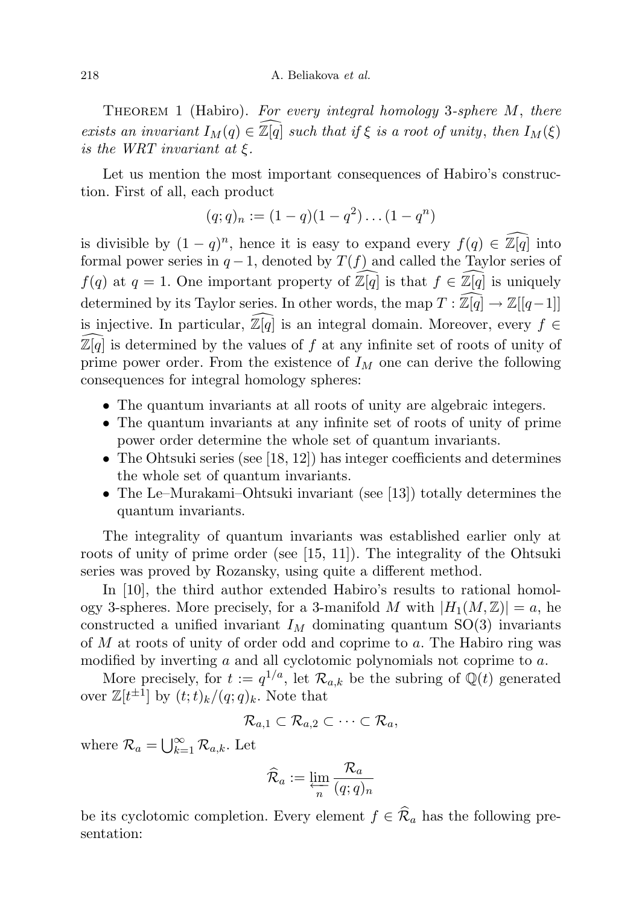218 A. Beliakova et al.

THEOREM 1 (Habiro). For every integral homology 3-sphere  $M$ , there exists an invariant  $I_M(q) \in \mathbb{Z}[q]$  such that if  $\xi$  is a root of unity, then  $I_M(\xi)$ is the WRT invariant at  $\xi$ .

Let us mention the most important consequences of Habiro's construction. First of all, each product

$$
(q;q)_n := (1-q)(1-q^2)\dots(1-q^n)
$$

is divisible by  $(1-q)^n$ , hence it is easy to expand every  $f(q) \in \overline{\mathbb{Z}[q]}$  into formal power series in  $q-1$ , denoted by  $T(f)$  and called the Taylor series of  $f(q)$  at  $q = 1$ . One important property of  $\mathbb{Z}[q]$  is that  $f \in \mathbb{Z}[q]$  is uniquely determined by its Taylor series. In other words, the map  $T : \mathbb{Z}[q] \to \mathbb{Z}[[q-1]]$ is injective. In particular,  $\mathbb{Z}[q]$  is an integral domain. Moreover, every  $f \in$  $\mathbb{Z}[q]$  is determined by the values of f at any infinite set of roots of unity of prime power order. From the existence of  $I_M$  one can derive the following consequences for integral homology spheres:

- The quantum invariants at all roots of unity are algebraic integers.
- The quantum invariants at any infinite set of roots of unity of prime power order determine the whole set of quantum invariants.
- The Ohtsuki series (see [18, 12]) has integer coefficients and determines the whole set of quantum invariants.
- The Le–Murakami–Ohtsuki invariant (see [13]) totally determines the quantum invariants.

The integrality of quantum invariants was established earlier only at roots of unity of prime order (see [15, 11]). The integrality of the Ohtsuki series was proved by Rozansky, using quite a different method.

In [10], the third author extended Habiro's results to rational homology 3-spheres. More precisely, for a 3-manifold M with  $|H_1(M,\mathbb{Z})|=a$ , he constructed a unified invariant  $I_M$  dominating quantum  $SO(3)$  invariants of M at roots of unity of order odd and coprime to a. The Habiro ring was modified by inverting a and all cyclotomic polynomials not coprime to a.

More precisely, for  $t := q^{1/a}$ , let  $\mathcal{R}_{a,k}$  be the subring of  $\mathbb{Q}(t)$  generated over  $\mathbb{Z}[t^{\pm 1}]$  by  $(t;t)_k/(q;q)_k$ . Note that

$$
\mathcal{R}_{a,1} \subset \mathcal{R}_{a,2} \subset \cdots \subset \mathcal{R}_a,
$$

where  $\mathcal{R}_a = \bigcup_{k=1}^{\infty} \mathcal{R}_{a,k}$ . Let

$$
\widehat{\mathcal{R}}_a := \varprojlim_n \frac{\mathcal{R}_a}{(q;q)_n}
$$

be its cyclotomic completion. Every element  $f \in \widehat{\mathcal{R}}_a$  has the following presentation: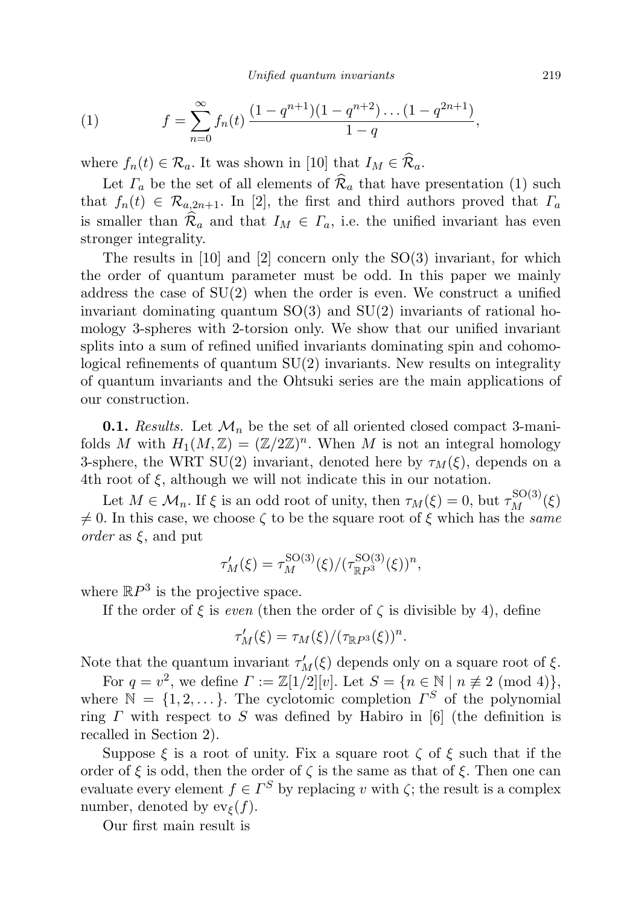(1) 
$$
f = \sum_{n=0}^{\infty} f_n(t) \frac{(1 - q^{n+1})(1 - q^{n+2}) \dots (1 - q^{2n+1})}{1 - q},
$$

where  $f_n(t) \in \mathcal{R}_a$ . It was shown in [10] that  $I_M \in \widehat{\mathcal{R}}_a$ .

Let  $\Gamma_a$  be the set of all elements of  $\mathcal{R}_a$  that have presentation (1) such that  $f_n(t) \in \mathcal{R}_{a,2n+1}$ . In [2], the first and third authors proved that  $\Gamma_a$ is smaller than  $\mathcal{R}_a$  and that  $I_M \in \Gamma_a$ , i.e. the unified invariant has even stronger integrality.

The results in [10] and [2] concern only the SO(3) invariant, for which the order of quantum parameter must be odd. In this paper we mainly address the case of  $SU(2)$  when the order is even. We construct a unified invariant dominating quantum  $SO(3)$  and  $SU(2)$  invariants of rational homology 3-spheres with 2-torsion only. We show that our unified invariant splits into a sum of refined unified invariants dominating spin and cohomological refinements of quantum SU(2) invariants. New results on integrality of quantum invariants and the Ohtsuki series are the main applications of our construction.

**0.1.** Results. Let  $\mathcal{M}_n$  be the set of all oriented closed compact 3-manifolds M with  $H_1(M, \mathbb{Z}) = (\mathbb{Z}/2\mathbb{Z})^n$ . When M is not an integral homology 3-sphere, the WRT SU(2) invariant, denoted here by  $\tau_M(\xi)$ , depends on a 4th root of ξ, although we will not indicate this in our notation.

Let  $M \in \mathcal{M}_n$ . If  $\xi$  is an odd root of unity, then  $\tau_M(\xi) = 0$ , but  $\tau_M^{\text{SO}(3)}(\xi)$  $\neq 0$ . In this case, we choose  $\zeta$  to be the square root of  $\xi$  which has the same *order* as  $\xi$ , and put

$$
\tau'_M(\xi) = \tau_M^{\text{SO}(3)}(\xi) / (\tau_{\mathbb{R}P^3}^{\text{SO}(3)}(\xi))^n,
$$

where  $\mathbb{R}P^3$  is the projective space.

If the order of  $\xi$  is even (then the order of  $\zeta$  is divisible by 4), define

$$
\tau'_M(\xi) = \tau_M(\xi) / (\tau_{\mathbb{R}P^3}(\xi))^n.
$$

Note that the quantum invariant  $\tau'_M(\xi)$  depends only on a square root of  $\xi$ .

For  $q = v^2$ , we define  $\Gamma := \mathbb{Z}[1/2][v]$ . Let  $S = \{n \in \mathbb{N} \mid n \not\equiv 2 \pmod{4}\},\$ where  $\mathbb{N} = \{1, 2, \dots\}$ . The cyclotomic completion  $\Gamma^{S}$  of the polynomial ring  $\Gamma$  with respect to  $S$  was defined by Habiro in [6] (the definition is recalled in Section 2).

Suppose  $\xi$  is a root of unity. Fix a square root  $\zeta$  of  $\xi$  such that if the order of  $\xi$  is odd, then the order of  $\zeta$  is the same as that of  $\xi$ . Then one can evaluate every element  $f \in \Gamma^S$  by replacing v with  $\zeta$ ; the result is a complex number, denoted by  $ev_{\xi}(f)$ .

Our first main result is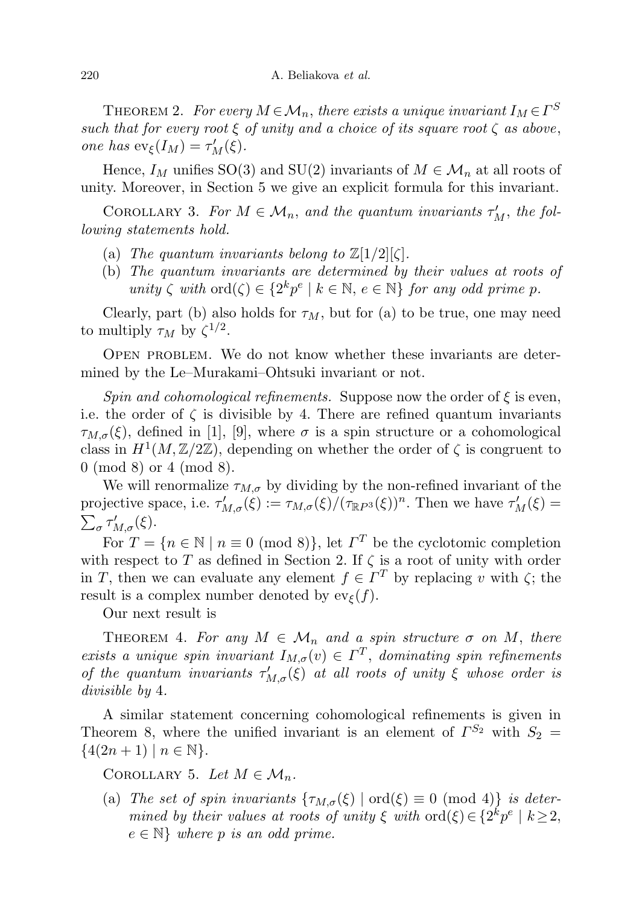THEOREM 2. For every  $M \in \mathcal{M}_n$ , there exists a unique invariant  $I_M \in \Gamma^S$ such that for every root  $\xi$  of unity and a choice of its square root  $\zeta$  as above, one has  $ev_{\xi}(I_M) = \tau'_M(\xi)$ .

Hence,  $I_M$  unifies SO(3) and SU(2) invariants of  $M \in \mathcal{M}_n$  at all roots of unity. Moreover, in Section 5 we give an explicit formula for this invariant.

COROLLARY 3. For  $M \in \mathcal{M}_n$ , and the quantum invariants  $\tau'_M$ , the following statements hold.

- (a) The quantum invariants belong to  $\mathbb{Z}[1/2][\zeta]$ .
- (b) The quantum invariants are determined by their values at roots of unity  $\zeta$  with  $\text{ord}(\zeta) \in \{2^k p^e \mid k \in \mathbb{N}, e \in \mathbb{N}\}\$  for any odd prime p.

Clearly, part (b) also holds for  $\tau_M$ , but for (a) to be true, one may need to multiply  $\tau_M$  by  $\zeta^{1/2}$ .

Open problem. We do not know whether these invariants are determined by the Le–Murakami–Ohtsuki invariant or not.

Spin and cohomological refinements. Suppose now the order of  $\xi$  is even, i.e. the order of  $\zeta$  is divisible by 4. There are refined quantum invariants  $\tau_{M,\sigma}(\xi)$ , defined in [1], [9], where  $\sigma$  is a spin structure or a cohomological class in  $H^1(M,\mathbb{Z}/2\mathbb{Z})$ , depending on whether the order of  $\zeta$  is congruent to 0 (mod 8) or 4 (mod 8).

We will renormalize  $\tau_{M,\sigma}$  by dividing by the non-refined invariant of the projective space, i.e.  $\tau'_{M,\sigma}(\xi) := \tau_{M,\sigma}(\xi) / (\tau_{\mathbb{R}P^3}(\xi))^n$ . Then we have  $\tau'_{M}(\xi) =$  $\sum_{\sigma} \tau'_{M,\sigma}(\xi)$ .

For  $T = \{n \in \mathbb{N} \mid n \equiv 0 \pmod{8}\},\$ let  $\Gamma^T$  be the cyclotomic completion with respect to T as defined in Section 2. If  $\zeta$  is a root of unity with order in T, then we can evaluate any element  $f \in \Gamma^T$  by replacing v with  $\zeta$ ; the result is a complex number denoted by  $ev_{\xi}(f)$ .

Our next result is

THEOREM 4. For any  $M \in \mathcal{M}_n$  and a spin structure  $\sigma$  on M, there exists a unique spin invariant  $I_{M,\sigma}(v) \in \Gamma^T$ , dominating spin refinements of the quantum invariants  $\tau'_{M,\sigma}(\xi)$  at all roots of unity  $\xi$  whose order is divisible by 4.

A similar statement concerning cohomological refinements is given in Theorem 8, where the unified invariant is an element of  $\Gamma^{S_2}$  with  $S_2 =$  $\{4(2n+1) \mid n \in \mathbb{N}\}.$ 

COROLLARY 5. Let  $M \in \mathcal{M}_n$ .

(a) The set of spin invariants  $\{\tau_{M,\sigma}(\xi) \mid \text{ord}(\xi) \equiv 0 \pmod{4}\}$  is determined by their values at roots of unity  $\xi$  with  $\text{ord}(\xi) \in \{2^k p^e \mid k \geq 2,$  $e \in \mathbb{N}$  where p is an odd prime.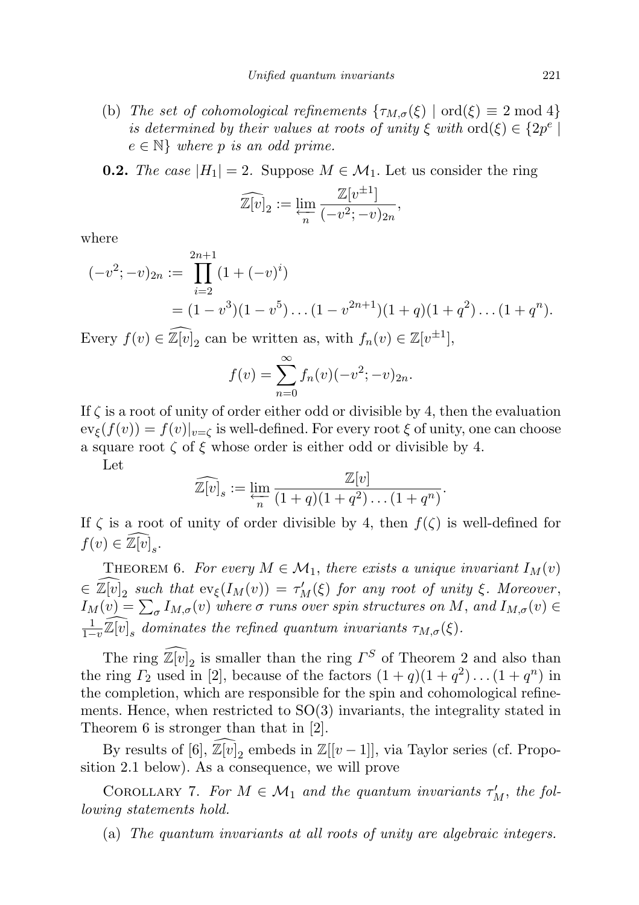(b) The set of cohomological refinements  $\{\tau_{M,\sigma}(\xi) \mid \text{ord}(\xi) \equiv 2 \text{ mod } 4\}$ is determined by their values at roots of unity  $\xi$  with  $\text{ord}(\xi) \in \{2p^e \mid$  $e \in \mathbb{N}$  where p is an odd prime.

**0.2.** The case  $|H_1| = 2$ . Suppose  $M \in \mathcal{M}_1$ . Let us consider the ring

$$
\widehat{\mathbb{Z}[v]}_2 := \varprojlim_n \frac{\mathbb{Z}[v^{\pm 1}]}{(-v^2; -v)_{2n}},
$$

where

$$
(-v^2; -v)_{2n} := \prod_{i=2}^{2n+1} (1 + (-v)^i)
$$
  
=  $(1 - v^3)(1 - v^5) \dots (1 - v^{2n+1})(1 + q)(1 + q^2) \dots (1 + q^n).$ 

Every  $f(v) \in \mathbb{Z}[v]_2$  can be written as, with  $f_n(v) \in \mathbb{Z}[v^{\pm 1}]$ ,

$$
f(v) = \sum_{n=0}^{\infty} f_n(v)(-v^2; -v)_{2n}.
$$

If  $\zeta$  is a root of unity of order either odd or divisible by 4, then the evaluation  $ev_{\xi}(f(v)) = f(v)|_{v=\zeta}$  is well-defined. For every root  $\xi$  of unity, one can choose a square root  $\zeta$  of  $\xi$  whose order is either odd or divisible by 4.

Let

$$
\widehat{\mathbb{Z}[v]}_s := \varprojlim_n \frac{\mathbb{Z}[v]}{(1+q)(1+q^2)\dots(1+q^n)}.
$$

If  $\zeta$  is a root of unity of order divisible by 4, then  $f(\zeta)$  is well-defined for  $f(v) \in \widehat{\mathbb{Z}[v]}_s.$ 

THEOREM 6. For every  $M \in \mathcal{M}_1$ , there exists a unique invariant  $I_M(v)$  $\in \overline{\mathbb{Z}[v]}_2$  such that  $ev_{\xi}(I_M(v)) = \tau'_M(\xi)$  for any root of unity  $\xi$ . Moreover,  $I_M(v) = \sum_{\sigma} I_{M,\sigma}(v)$  where  $\sigma$  runs over spin structures on M, and  $I_{M,\sigma}(v) \in$  $\frac{1}{1-v}\widetilde{\mathbb{Z}[v]}_s$  dominates the refined quantum invariants  $\tau_{M,\sigma}(\xi)$ .

The ring  $\mathbb{Z}[v]_2$  is smaller than the ring  $\Gamma^S$  of Theorem 2 and also than the ring  $\Gamma_2$  used in [2], because of the factors  $(1+q)(1+q^2)\dots(1+q^n)$  in the completion, which are responsible for the spin and cohomological refinements. Hence, when restricted to  $SO(3)$  invariants, the integrality stated in Theorem 6 is stronger than that in [2].

By results of  $[6]$ ,  $\widetilde{\mathbb{Z}}[\overline{v}]_2$  embeds in  $\mathbb{Z}[[v-1]]$ , via Taylor series (cf. Proposition 2.1 below). As a consequence, we will prove

COROLLARY 7. For  $M \in \mathcal{M}_1$  and the quantum invariants  $\tau'_M$ , the following statements hold.

(a) The quantum invariants at all roots of unity are algebraic integers.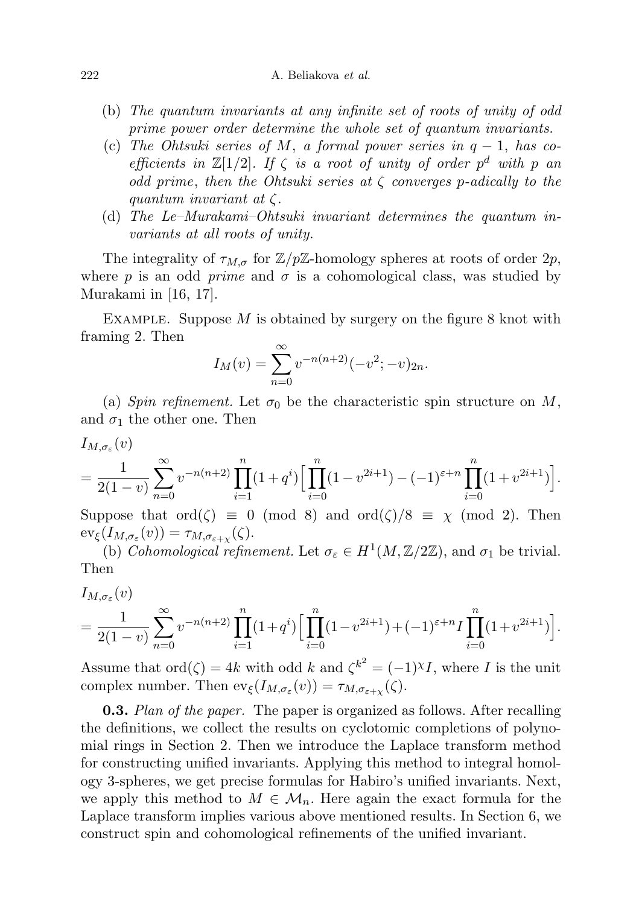- (b) The quantum invariants at any infinite set of roots of unity of odd prime power order determine the whole set of quantum invariants.
- (c) The Ohtsuki series of M, a formal power series in  $q-1$ , has coefficients in  $\mathbb{Z}[1/2]$ . If  $\zeta$  is a root of unity of order  $p^d$  with p an odd prime, then the Ohtsuki series at  $\zeta$  converges p-adically to the quantum invariant at  $\zeta$ .
- (d) The Le–Murakami–Ohtsuki invariant determines the quantum invariants at all roots of unity.

The integrality of  $\tau_{M,\sigma}$  for  $\mathbb{Z}/p\mathbb{Z}$ -homology spheres at roots of order  $2p$ , where p is an odd prime and  $\sigma$  is a cohomological class, was studied by Murakami in [16, 17].

EXAMPLE. Suppose  $M$  is obtained by surgery on the figure 8 knot with framing 2. Then

$$
I_M(v) = \sum_{n=0}^{\infty} v^{-n(n+2)} (-v^2; -v)_{2n}.
$$

(a) Spin refinement. Let  $\sigma_0$  be the characteristic spin structure on M, and  $\sigma_1$  the other one. Then

 $I_{M,\sigma_{\varepsilon}}(v)$ 

$$
= \frac{1}{2(1-v)}\sum_{n=0}^{\infty} v^{-n(n+2)} \prod_{i=1}^{n} (1+q^{i}) \Big[ \prod_{i=0}^{n} (1-v^{2i+1}) - (-1)^{\varepsilon+n} \prod_{i=0}^{n} (1+v^{2i+1}) \Big].
$$

Suppose that  $\text{ord}(\zeta) \equiv 0 \pmod{8}$  and  $\text{ord}(\zeta)/8 \equiv \chi \pmod{2}$ . Then  $ev_{\xi}(I_{M,\sigma_{\varepsilon}}(v)) = \tau_{M,\sigma_{\varepsilon+\chi}}(\zeta).$ 

(b) Cohomological refinement. Let  $\sigma_{\varepsilon} \in H^1(M,\mathbb{Z}/2\mathbb{Z})$ , and  $\sigma_1$  be trivial. Then

$$
I_{M,\sigma_{\varepsilon}}(v)
$$
  
=  $\frac{1}{2(1-v)}\sum_{n=0}^{\infty}v^{-n(n+2)}\prod_{i=1}^{n}(1+q^{i})\Big[\prod_{i=0}^{n}(1-v^{2i+1})+(-1)^{\varepsilon+n}I\prod_{i=0}^{n}(1+v^{2i+1})\Big]$ 

.

Assume that  $\text{ord}(\zeta) = 4k$  with odd k and  $\zeta^{k^2} = (-1)^{\chi} I$ , where I is the unit complex number. Then  $ev_{\xi}(I_{M,\sigma_{\varepsilon}}(v)) = \tau_{M,\sigma_{\varepsilon+\chi}}(\zeta)$ .

**0.3.** Plan of the paper. The paper is organized as follows. After recalling the definitions, we collect the results on cyclotomic completions of polynomial rings in Section 2. Then we introduce the Laplace transform method for constructing unified invariants. Applying this method to integral homology 3-spheres, we get precise formulas for Habiro's unified invariants. Next, we apply this method to  $M \in \mathcal{M}_n$ . Here again the exact formula for the Laplace transform implies various above mentioned results. In Section 6, we construct spin and cohomological refinements of the unified invariant.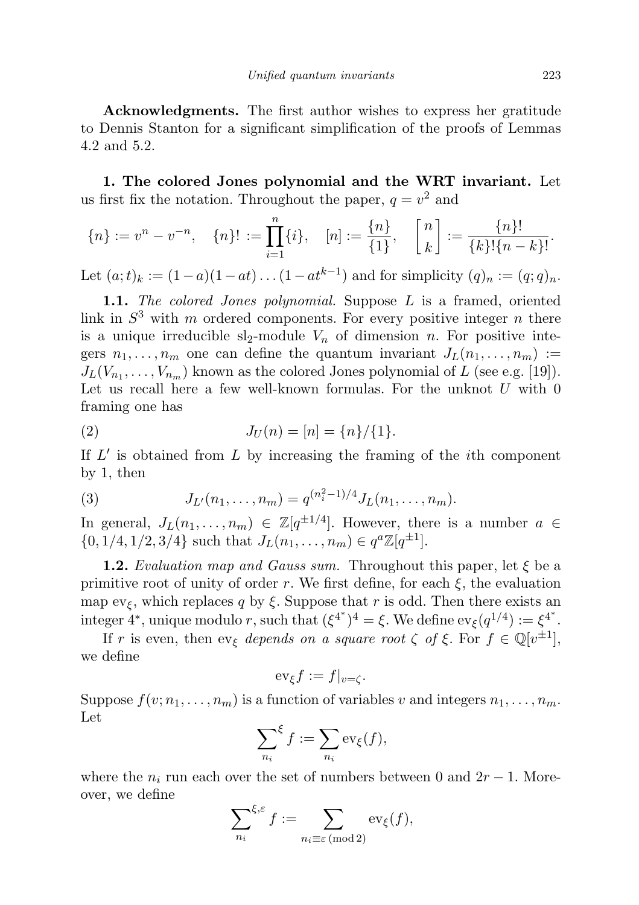Acknowledgments. The first author wishes to express her gratitude to Dennis Stanton for a significant simplification of the proofs of Lemmas 4.2 and 5.2.

1. The colored Jones polynomial and the WRT invariant. Let us first fix the notation. Throughout the paper,  $q = v^2$  and

$$
\{n\} := v^{n} - v^{-n}, \quad \{n\}! := \prod_{i=1}^{n} \{i\}, \quad [n] := \frac{\{n\}}{\{1\}}, \quad \left[n\right] := \frac{\{n\}!}{\{k\}!\{n-k\}!}.
$$

Let  $(a, t)_k := (1 - a)(1 - at) \dots (1 - at^{k-1})$  and for simplicity  $(q)_n := (q, q)_n$ .

1.1. The colored Jones polynomial. Suppose  $L$  is a framed, oriented link in  $S^3$  with m ordered components. For every positive integer n there is a unique irreducible sl<sub>2</sub>-module  $V_n$  of dimension n. For positive integers  $n_1, \ldots, n_m$  one can define the quantum invariant  $J_L(n_1, \ldots, n_m) :=$  $J_L(V_{n_1},\ldots,V_{n_m})$  known as the colored Jones polynomial of L (see e.g. [19]). Let us recall here a few well-known formulas. For the unknot  $U$  with 0 framing one has

(2) 
$$
J_U(n) = [n] = \{n\}/\{1\}.
$$

If  $L'$  is obtained from  $L$  by increasing the framing of the *i*th component by 1, then

(3) 
$$
J_{L'}(n_1,\ldots,n_m) = q^{(n_i^2-1)/4} J_L(n_1,\ldots,n_m).
$$

In general,  $J_L(n_1,\ldots,n_m) \in \mathbb{Z}[q^{\pm 1/4}]$ . However, there is a number  $a \in$  $\{0, 1/4, 1/2, 3/4\}$  such that  $J_L(n_1, \ldots, n_m) \in q^a \mathbb{Z}[q^{\pm 1}].$ 

**1.2.** Evaluation map and Gauss sum. Throughout this paper, let  $\xi$  be a primitive root of unity of order r. We first define, for each  $\xi$ , the evaluation map ev<sub> $\xi$ </sub>, which replaces q by  $\xi$ . Suppose that r is odd. Then there exists an integer 4<sup>\*</sup>, unique modulo r, such that  $(\xi^{4^*})^4 = \xi$ . We define  $ev_{\xi}(q^{1/4}) := \xi^{4^*}$ .

If r is even, then ev<sub>ξ</sub> depends on a square root  $\zeta$  of  $\xi$ . For  $f \in \mathbb{Q}[v^{\pm 1}]$ , we define

$$
\mathrm{ev}_{\xi}f:=f|_{v=\zeta}.
$$

Suppose  $f(v; n_1, \ldots, n_m)$  is a function of variables v and integers  $n_1, \ldots, n_m$ . Let

$$
\sum_{n_i} \xi f := \sum_{n_i} \text{ev}_{\xi}(f),
$$

where the  $n_i$  run each over the set of numbers between 0 and  $2r - 1$ . Moreover, we define

$$
\sum_{n_i}^{\xi,\varepsilon} f:=\sum_{n_i\equiv \varepsilon\,(\text{mod}\,2)} \mathrm{ev}_\xi(f),
$$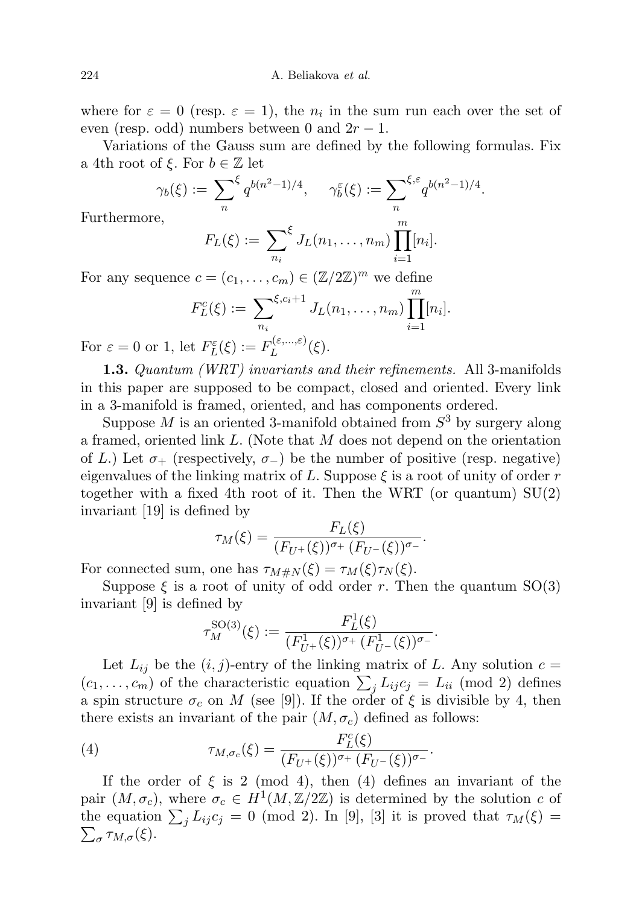where for  $\varepsilon = 0$  (resp.  $\varepsilon = 1$ ), the  $n_i$  in the sum run each over the set of even (resp. odd) numbers between 0 and  $2r - 1$ .

Variations of the Gauss sum are defined by the following formulas. Fix a 4th root of  $\xi$ . For  $b \in \mathbb{Z}$  let

$$
\gamma_b(\xi) := \sum_n^{\xi} q^{b(n^2-1)/4}, \quad \gamma_b^{\varepsilon}(\xi) := \sum_n^{\xi, \varepsilon} q^{b(n^2-1)/4}.
$$

Furthermore,

$$
F_L(\xi) := \sum_{n_i} \xi J_L(n_1, \dots, n_m) \prod_{i=1}^m [n_i].
$$

For any sequence  $c = (c_1, \ldots, c_m) \in (\mathbb{Z}/2\mathbb{Z})^m$  we define

$$
F_L^c(\xi) := \sum_{n_i}^{\xi, c_i+1} J_L(n_1, \dots, n_m) \prod_{i=1}^m [n_i].
$$

For  $\varepsilon = 0$  or 1, let  $F_L^{\varepsilon}(\xi) := F_L^{(\varepsilon, \ldots, \varepsilon)}$  $L^{(\varepsilon,\ldots,\varepsilon)}(\xi).$ 

**1.3.** Quantum (WRT) invariants and their refinements. All 3-manifolds in this paper are supposed to be compact, closed and oriented. Every link in a 3-manifold is framed, oriented, and has components ordered.

Suppose  $M$  is an oriented 3-manifold obtained from  $S^3$  by surgery along a framed, oriented link L. (Note that M does not depend on the orientation of L.) Let  $\sigma_+$  (respectively,  $\sigma_-$ ) be the number of positive (resp. negative) eigenvalues of the linking matrix of L. Suppose  $\xi$  is a root of unity of order r together with a fixed 4th root of it. Then the WRT (or quantum) SU(2) invariant [19] is defined by

$$
\tau_M(\xi) = \frac{F_L(\xi)}{(F_{U^+}(\xi))^{\sigma_+} (F_{U^-}(\xi))^{\sigma_-}}.
$$

For connected sum, one has  $\tau_{M\#N}(\xi) = \tau_M(\xi)\tau_N(\xi)$ .

Suppose  $\xi$  is a root of unity of odd order r. Then the quantum SO(3) invariant [9] is defined by

$$
\tau_M^{\text{SO}(3)}(\xi) := \frac{F_L^1(\xi)}{(F_{U^+}^1(\xi))^{\sigma_+} (F_{U^-}^1(\xi))^{\sigma_-}}.
$$

Let  $L_{ij}$  be the  $(i, j)$ -entry of the linking matrix of L. Any solution  $c =$  $(c_1, \ldots, c_m)$  of the characteristic equation  $\sum_j L_{ij} c_j = L_{ii} \pmod{2}$  defines a spin structure  $\sigma_c$  on M (see [9]). If the order of  $\xi$  is divisible by 4, then there exists an invariant of the pair  $(M, \sigma_c)$  defined as follows:

(4) 
$$
\tau_{M,\sigma_c}(\xi) = \frac{F_L^c(\xi)}{(F_{U^+}(\xi))^{\sigma_+} (F_{U^-}(\xi))^{\sigma_-}}.
$$

If the order of  $\xi$  is 2 (mod 4), then (4) defines an invariant of the pair  $(M, \sigma_c)$ , where  $\sigma_c \in H^1(M, \mathbb{Z}/2\mathbb{Z})$  is determined by the solution c of the equation  $\sum_j L_{ij} c_j = 0 \pmod{2}$ . In [9], [3] it is proved that  $\tau_M(\xi) =$  $\sum_{\sigma} \tau_{M,\sigma}(\xi).$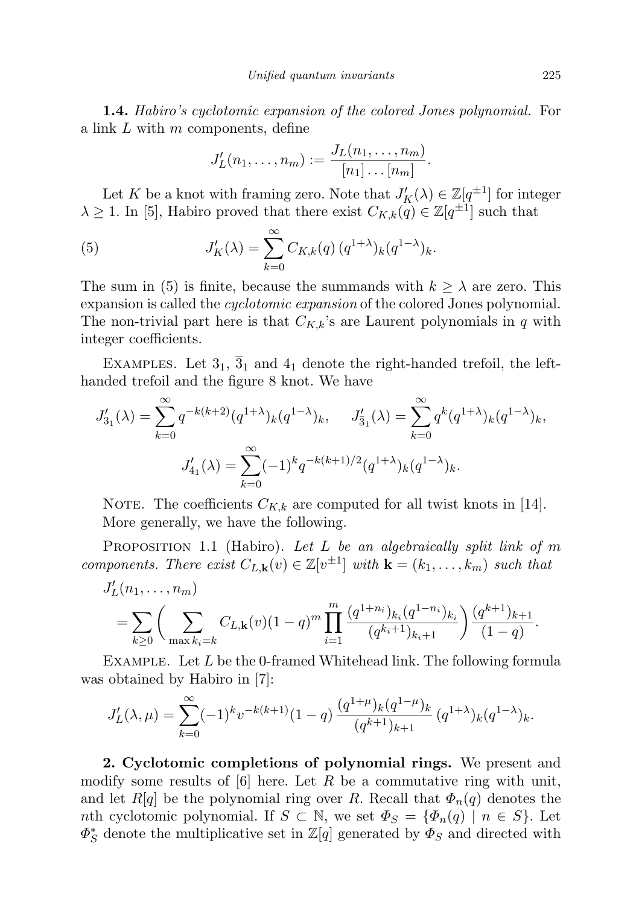1.4. Habiro's cyclotomic expansion of the colored Jones polynomial. For a link  $L$  with  $m$  components, define

$$
J'_{L}(n_1,\ldots,n_m):=\frac{J_L(n_1,\ldots,n_m)}{[n_1]\ldots[n_m]}.
$$

Let K be a knot with framing zero. Note that  $J'_{K}(\lambda) \in \mathbb{Z}[q^{\pm 1}]$  for integer  $\lambda \geq 1$ . In [5], Habiro proved that there exist  $C_{K,k}(q) \in \mathbb{Z}[q^{\pm 1}]$  such that

(5) 
$$
J'_{K}(\lambda) = \sum_{k=0}^{\infty} C_{K,k}(q) (q^{1+\lambda})_{k}(q^{1-\lambda})_{k}.
$$

The sum in (5) is finite, because the summands with  $k \geq \lambda$  are zero. This expansion is called the cyclotomic expansion of the colored Jones polynomial. The non-trivial part here is that  $C_{K,k}$ 's are Laurent polynomials in q with integer coefficients.

EXAMPLES. Let  $3_1$ ,  $3_1$  and  $4_1$  denote the right-handed trefoil, the lefthanded trefoil and the figure 8 knot. We have

$$
J'_{3_1}(\lambda) = \sum_{k=0}^{\infty} q^{-k(k+2)} (q^{1+\lambda})_k (q^{1-\lambda})_k, \quad J'_{3_1}(\lambda) = \sum_{k=0}^{\infty} q^k (q^{1+\lambda})_k (q^{1-\lambda})_k,
$$

$$
J'_{4_1}(\lambda) = \sum_{k=0}^{\infty} (-1)^k q^{-k(k+1)/2} (q^{1+\lambda})_k (q^{1-\lambda})_k.
$$

NOTE. The coefficients  $C_{K,k}$  are computed for all twist knots in [14]. More generally, we have the following.

PROPOSITION 1.1 (Habiro). Let L be an algebraically split link of  $m$ components. There exist  $C_{L,\mathbf{k}}(v) \in \mathbb{Z}[v^{\pm 1}]$  with  $\mathbf{k} = (k_1, \ldots, k_m)$  such that

$$
J'_{L}(n_{1},...,n_{m}) = \sum_{k\geq 0} \left( \sum_{\max k_{i}=k} C_{L,\mathbf{k}}(v)(1-q)^{m} \prod_{i=1}^{m} \frac{(q^{1+n_{i}})_{k_{i}}(q^{1-n_{i}})_{k_{i}}}{(q^{k_{i}+1})_{k_{i}+1}} \right) \frac{(q^{k+1})_{k+1}}{(1-q)}.
$$

EXAMPLE. Let  $L$  be the 0-framed Whitehead link. The following formula was obtained by Habiro in [7]:

$$
J'_{L}(\lambda,\mu) = \sum_{k=0}^{\infty} (-1)^k v^{-k(k+1)} (1-q) \frac{(q^{1+\mu})_k (q^{1-\mu})_k}{(q^{k+1})_{k+1}} (q^{1+\lambda})_k (q^{1-\lambda})_k.
$$

2. Cyclotomic completions of polynomial rings. We present and modify some results of  $[6]$  here. Let R be a commutative ring with unit, and let  $R[q]$  be the polynomial ring over R. Recall that  $\Phi_n(q)$  denotes the nth cyclotomic polynomial. If  $S \subset \mathbb{N}$ , we set  $\Phi_S = {\Phi_n(q) \mid n \in S}$ . Let  $\Phi_S^*$  denote the multiplicative set in  $\mathbb{Z}[q]$  generated by  $\Phi_S$  and directed with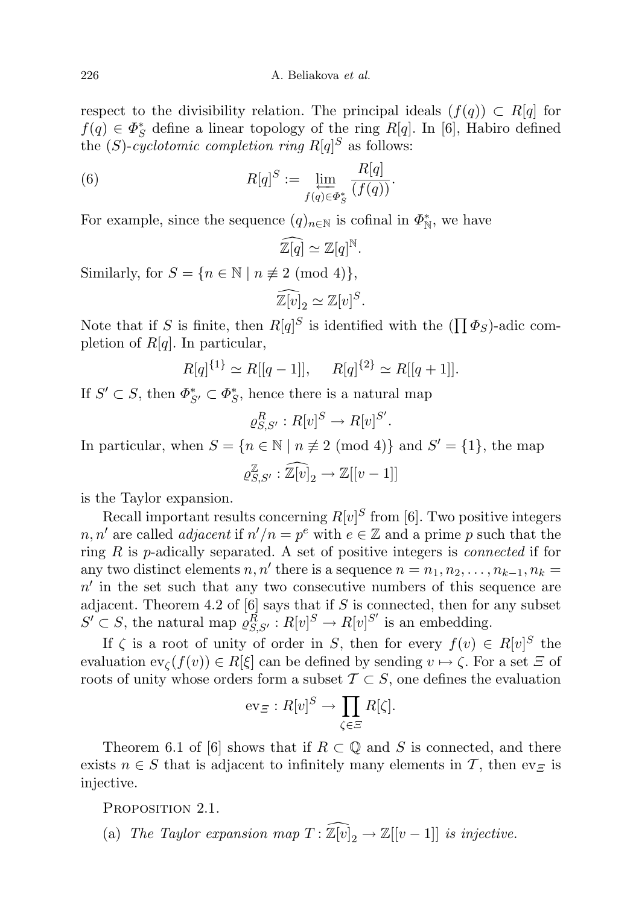respect to the divisibility relation. The principal ideals  $(f(q)) \subset R[q]$  for  $f(q) \in \Phi_S^*$  define a linear topology of the ring  $R[q]$ . In [6], Habiro defined the  $(S)$ -cyclotomic completion ring  $R[q]$ <sup>S</sup> as follows:

(6) 
$$
R[q]^{S} := \lim_{\substack{f(q) \in \Phi_{S}^{*} \\ f(q) \in \Phi_{S}^{*}}} \frac{R[q]}{(f(q))}.
$$

For example, since the sequence  $(q)_{n\in\mathbb{N}}$  is cofinal in  $\Phi_{\mathbb{N}}^*$ , we have

$$
\widehat{\mathbb{Z}[q]} \simeq \mathbb{Z}[q]^{\mathbb{N}}.
$$

Similarly, for  $S = \{n \in \mathbb{N} \mid n \not\equiv 2 \pmod{4}\},\$ 

$$
\widehat{\mathbb{Z}[v]}_2 \simeq \mathbb{Z}[v]^S.
$$

Note that if S is finite, then  $R[q]^S$  is identified with the  $(\prod \Phi_S)$ -adic completion of  $R[q]$ . In particular,

$$
R[q]^{{1\}} \simeq R[[q-1]], \quad R[q]^{{2\}} \simeq R[[q+1]].
$$

If  $S' \subset S$ , then  $\Phi_{S'}^* \subset \Phi_S^*$ , hence there is a natural map

$$
\varrho^R_{S,S'}: R[v]^S \to R[v]^{S'}.
$$

In particular, when  $S = \{n \in \mathbb{N} \mid n \neq 2 \pmod{4}\}$  and  $S' = \{1\}$ , the map

$$
\varrho^{\mathbb{Z}}_{S,S'} : \widehat{\mathbb{Z}[v]}_2 \to \mathbb{Z}[[v-1]]
$$

is the Taylor expansion.

Recall important results concerning  $R[v]^S$  from [6]. Two positive integers n, n' are called *adjacent* if  $n'/n = p^e$  with  $e \in \mathbb{Z}$  and a prime p such that the ring  $R$  is p-adically separated. A set of positive integers is *connected* if for any two distinct elements  $n, n'$  there is a sequence  $n = n_1, n_2, \ldots, n_{k-1}, n_k =$  $n'$  in the set such that any two consecutive numbers of this sequence are adjacent. Theorem 4.2 of  $[6]$  says that if S is connected, then for any subset  $S' \subset S$ , the natural map  $\rho_{S,S'}^R : R[v] \to R[v]^{S'}$  is an embedding.

If  $\zeta$  is a root of unity of order in S, then for every  $f(v) \in R[v]^S$  the evaluation  $ev_{\zeta}(f(v)) \in R[\xi]$  can be defined by sending  $v \mapsto \zeta$ . For a set  $\Xi$  of roots of unity whose orders form a subset  $\mathcal{T} \subset S$ , one defines the evaluation

$$
\mathrm{ev}_{\varXi}:R[v]^S \to \prod_{\zeta \in \varXi} R[\zeta].
$$

Theorem 6.1 of [6] shows that if  $R \subset \mathbb{Q}$  and S is connected, and there exists  $n \in S$  that is adjacent to infinitely many elements in T, then ev $\epsilon$  is injective.

PROPOSITION 2.1.

(a) The Taylor expansion map  $T : \widetilde{\mathbb{Z}[v]}_2 \to \mathbb{Z}[[v-1]]$  is injective.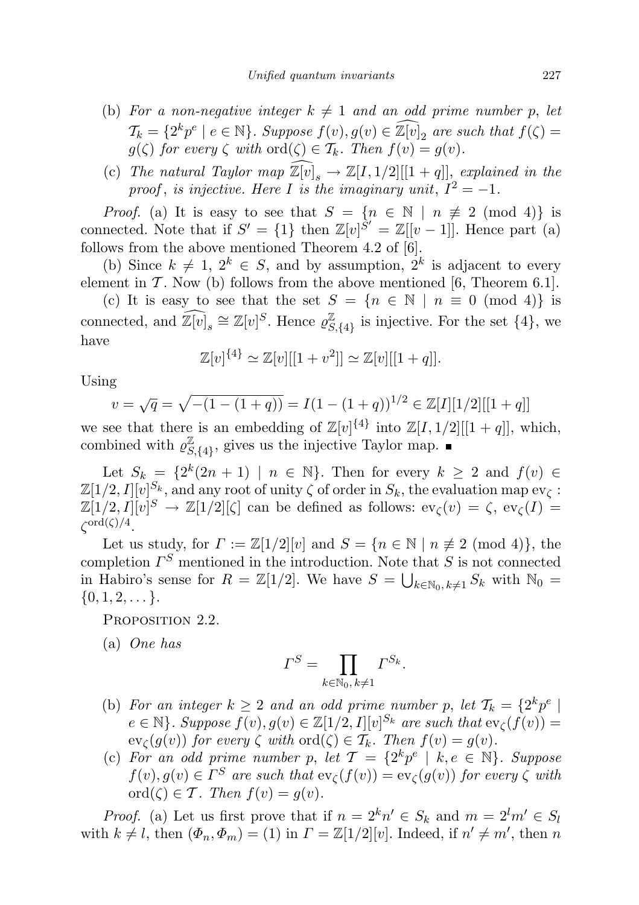- (b) For a non-negative integer  $k \neq 1$  and an odd prime number p, let  $\mathcal{T}_k = \{2^k p^e \mid e \in \mathbb{N}\}\$ . Suppose  $f(v), g(v) \in \mathbb{Z}[v]_2$  are such that  $f(\zeta) =$  $g(\zeta)$  for every  $\zeta$  with  $\text{ord}(\zeta) \in \mathcal{T}_k$ . Then  $f(v) = g(v)$ .
- (c) The natural Taylor map  $\mathbb{Z}[v]_s \to \mathbb{Z}[I,1/2][[1+q]]$ , explained in the proof, is injective. Here I is the imaginary unit,  $I^2 = -1$ .

*Proof.* (a) It is easy to see that  $S = \{n \in \mathbb{N} \mid n \neq 2 \pmod{4}\}\$ is connected. Note that if  $S' = \{1\}$  then  $\mathbb{Z}[v]^{S'} = \mathbb{Z}[[v-1]]$ . Hence part (a) follows from the above mentioned Theorem 4.2 of [6].

(b) Since  $k \neq 1, 2^k \in S$ , and by assumption,  $2^k$  is adjacent to every element in  $\mathcal T$ . Now (b) follows from the above mentioned [6, Theorem 6.1].

(c) It is easy to see that the set  $S = \{n \in \mathbb{N} \mid n \equiv 0 \pmod{4}\}\$ is connected, and  $\widehat{\mathbb{Z}[v]}_s \cong \mathbb{Z}[v]^S$ . Hence  $\varrho_S^{\mathbb{Z}}$  $\mathbb{Z}_{S,\{4\}}^{\mathbb{Z}}$  is injective. For the set  $\{4\}$ , we have

$$
\mathbb{Z}[v]^{4} \simeq \mathbb{Z}[v][[1 + v^2]] \simeq \mathbb{Z}[v][[1 + q]].
$$

Using

$$
v = \sqrt{q} = \sqrt{- (1 - (1 + q))} = I(1 - (1 + q))^{1/2} \in \mathbb{Z}[I][1/2][[1 + q]]
$$

we see that there is an embedding of  $\mathbb{Z}[v]$ <sup>{4}</sup> into  $\mathbb{Z}[I,1/2][[1+q]]$ , which, combined with  $\varrho_S^{\mathbb{Z}}$  $\mathbb{Z}_{S,\{4\}}^{\mathbb{Z}}$ , gives us the injective Taylor map.

Let  $S_k = \{2^k(2n+1) \mid n \in \mathbb{N}\}\.$  Then for every  $k \geq 2$  and  $f(v) \in$  $\mathbb{Z}[1/2,I][v]^{S_k}, \text{ and any root of unity } \zeta \text{ of order in } S_k, \text{ the evaluation map } \text{ev}_\zeta:$  $\mathbb{Z}[1/2, I][v]^S \to \mathbb{Z}[1/2][\zeta]$  can be defined as follows:  $ev_{\zeta}(v) = \zeta$ ,  $ev_{\zeta}(I) =$  $\zeta^{\mathrm{ord}(\zeta)/4}.$ 

Let us study, for  $\Gamma := \mathbb{Z}[1/2][v]$  and  $S = \{n \in \mathbb{N} \mid n \not\equiv 2 \pmod{4}\},\$ completion  $\Gamma^S$  mentioned in the introduction. Note that S is not connected in Habiro's sense for  $R = \mathbb{Z}[1/2]$ . We have  $S = \bigcup_{k \in \mathbb{N}_0, k \neq 1} S_k$  with  $\mathbb{N}_0 =$  $\{0, 1, 2, \dots\}.$ 

PROPOSITION 2.2.

(a) One has

$$
\Gamma^S = \prod_{k \in \mathbb{N}_0, k \neq 1} \Gamma^{S_k}.
$$

- (b) For an integer  $k \geq 2$  and an odd prime number p, let  $\mathcal{T}_k = \{2^k p^e \mid k \leq k \}$  $e \in \mathbb{N}$ . Suppose  $f(v), g(v) \in \mathbb{Z}[1/2, I][v]^{S_k}$  are such that  $ev_{\zeta}(f(v)) =$  $ev_{\zeta}(g(v))$  for every  $\zeta$  with  $ord(\zeta) \in \mathcal{T}_k$ . Then  $f(v) = g(v)$ .
- (c) For an odd prime number p, let  $\mathcal{T} = \{2^k p^e \mid k, e \in \mathbb{N}\}\$ . Suppose  $f(v), g(v) \in \Gamma^S$  are such that  $ev_{\zeta}(f(v)) = ev_{\zeta}(g(v))$  for every  $\zeta$  with ord $(\zeta) \in \mathcal{T}$ . Then  $f(v) = g(v)$ .

*Proof.* (a) Let us first prove that if  $n = 2^k n' \in S_k$  and  $m = 2^l m' \in S_l$ with  $k \neq l$ , then  $(\Phi_n, \Phi_m) = (1)$  in  $\Gamma = \mathbb{Z}[1/2][v]$ . Indeed, if  $n' \neq m'$ , then n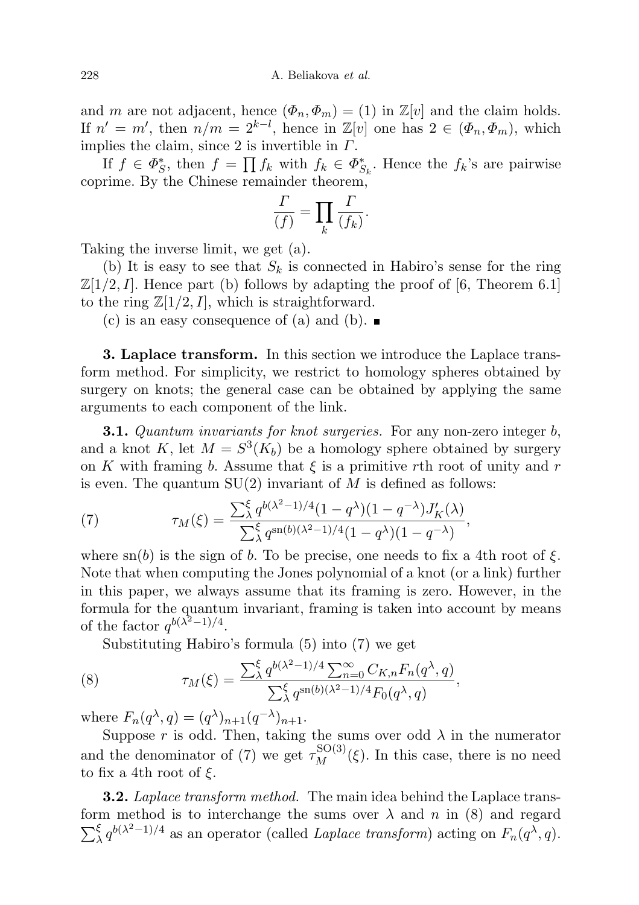228 A. Beliakova et al.

and m are not adjacent, hence  $(\Phi_n, \Phi_m) = (1)$  in  $\mathbb{Z}[v]$  and the claim holds. If  $n' = m'$ , then  $n/m = 2^{k-l}$ , hence in  $\mathbb{Z}[v]$  one has  $2 \in (\Phi_n, \Phi_m)$ , which implies the claim, since 2 is invertible in  $\Gamma$ .

If  $f \in \Phi_S^*$ , then  $f = \prod f_k$  with  $f_k \in \Phi_{S_k}^*$ . Hence the  $f_k$ 's are pairwise coprime. By the Chinese remainder theorem,

$$
\frac{\varGamma}{(f)}=\prod_k\frac{\varGamma}{(f_k)}.
$$

Taking the inverse limit, we get (a).

(b) It is easy to see that  $S_k$  is connected in Habiro's sense for the ring  $\mathbb{Z}[1/2, I]$ . Hence part (b) follows by adapting the proof of [6, Theorem 6.1] to the ring  $\mathbb{Z}[1/2, I]$ , which is straightforward.

(c) is an easy consequence of (a) and (b).  $\blacksquare$ 

3. Laplace transform. In this section we introduce the Laplace transform method. For simplicity, we restrict to homology spheres obtained by surgery on knots; the general case can be obtained by applying the same arguments to each component of the link.

**3.1.** Quantum invariants for knot surgeries. For any non-zero integer b, and a knot K, let  $M = S^3(K_b)$  be a homology sphere obtained by surgery on K with framing b. Assume that  $\xi$  is a primitive rth root of unity and r is even. The quantum  $SU(2)$  invariant of M is defined as follows:

(7) 
$$
\tau_M(\xi) = \frac{\sum_{\lambda}^{\xi} q^{b(\lambda^2 - 1)/4} (1 - q^{\lambda})(1 - q^{-\lambda}) J_K'(\lambda)}{\sum_{\lambda}^{\xi} q^{\text{sn}(b)(\lambda^2 - 1)/4} (1 - q^{\lambda})(1 - q^{-\lambda})},
$$

where  $\mathrm{sn}(b)$  is the sign of b. To be precise, one needs to fix a 4th root of  $\xi$ . Note that when computing the Jones polynomial of a knot (or a link) further in this paper, we always assume that its framing is zero. However, in the formula for the quantum invariant, framing is taken into account by means of the factor  $q^{b(\lambda^2-1)/4}$ .

Substituting Habiro's formula (5) into (7) we get

(8) 
$$
\tau_M(\xi) = \frac{\sum_{\lambda}^{\xi} q^{b(\lambda^2 - 1)/4} \sum_{n=0}^{\infty} C_{K,n} F_n(q^{\lambda}, q)}{\sum_{\lambda}^{\xi} q^{\text{sn}(b)(\lambda^2 - 1)/4} F_0(q^{\lambda}, q)},
$$

where  $F_n(q^{\lambda}, q) = (q^{\lambda})_{n+1}(q^{-\lambda})_{n+1}$ .

Suppose r is odd. Then, taking the sums over odd  $\lambda$  in the numerator and the denominator of (7) we get  $\tau_M^{\text{SO}(3)}(\xi)$ . In this case, there is no need to fix a 4th root of  $\xi$ .

**3.2.** Laplace transform method. The main idea behind the Laplace transform method is to interchange the sums over  $\lambda$  and n in (8) and regard  $\sum_{\lambda}^{\xi} q^{b(\lambda^2-1)/4}$  as an operator (called *Laplace transform*) acting on  $F_n(q^{\lambda}, q)$ .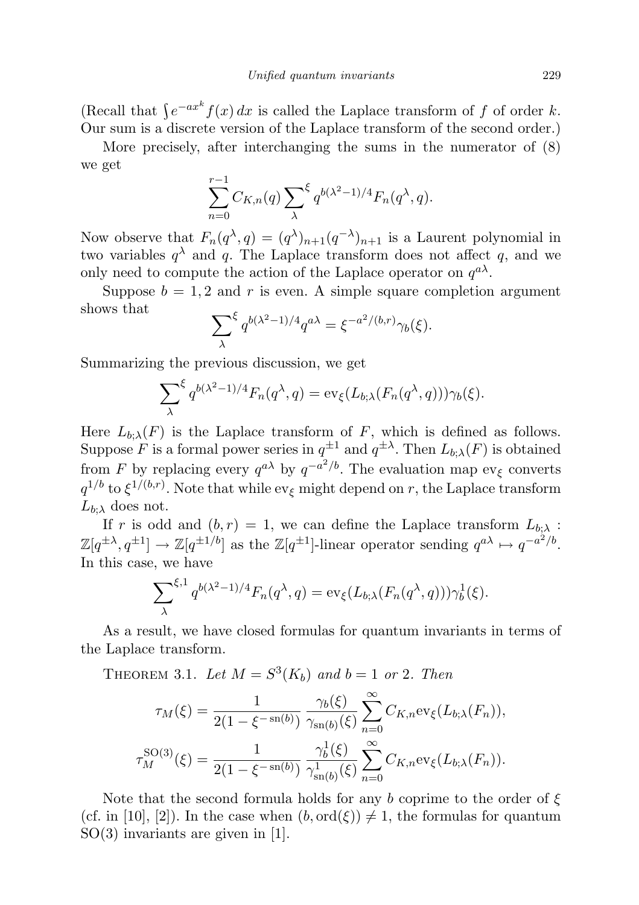(Recall that  $\int e^{-ax^k} f(x) dx$  is called the Laplace transform of f of order k. Our sum is a discrete version of the Laplace transform of the second order.)

More precisely, after interchanging the sums in the numerator of (8) we get

$$
\sum_{n=0}^{r-1} C_{K,n}(q) \sum_{\lambda}^{\xi} q^{b(\lambda^2-1)/4} F_n(q^{\lambda}, q).
$$

Now observe that  $F_n(q^{\lambda}, q) = (q^{\lambda})_{n+1}(q^{-\lambda})_{n+1}$  is a Laurent polynomial in two variables  $q^{\lambda}$  and q. The Laplace transform does not affect q, and we only need to compute the action of the Laplace operator on  $q^{a\lambda}$ .

Suppose  $b = 1, 2$  and r is even. A simple square completion argument shows that

$$
\sum_{\lambda}^{\xi} q^{b(\lambda^2 - 1)/4} q^{a\lambda} = \xi^{-a^2/(b,r)} \gamma_b(\xi).
$$

Summarizing the previous discussion, we get

$$
\sum_{\lambda}^{\xi} q^{b(\lambda^2 - 1)/4} F_n(q^{\lambda}, q) = \text{ev}_{\xi}(L_{b; \lambda}(F_n(q^{\lambda}, q))) \gamma_b(\xi).
$$

Here  $L_{b,\lambda}(F)$  is the Laplace transform of F, which is defined as follows. Suppose F is a formal power series in  $q^{\pm 1}$  and  $q^{\pm \lambda}$ . Then  $L_{b,\lambda}(F)$  is obtained from F by replacing every  $q^{a\lambda}$  by  $q^{-a^2/b}$ . The evaluation map ev<sub> $\xi$ </sub> converts  $q^{1/b}$  to  $\xi^{1/(b,r)}$ . Note that while ev<sub> $\xi$ </sub> might depend on r, the Laplace transform  $L_{h\lambda}$  does not.

If r is odd and  $(b, r) = 1$ , we can define the Laplace transform  $L_{b,\lambda}$ :  $\mathbb{Z}[q^{\pm\lambda}, q^{\pm 1}] \to \mathbb{Z}[q^{\pm 1/b}]$  as the  $\mathbb{Z}[q^{\pm 1}]$ -linear operator sending  $q^{a\lambda} \mapsto q^{-a^2/b}$ . In this case, we have

$$
\sum_{\lambda}^{\xi,1} q^{b(\lambda^2-1)/4} F_n(q^{\lambda},q) = \text{ev}_{\xi}(L_{b;\lambda}(F_n(q^{\lambda},q))) \gamma_b^1(\xi).
$$

As a result, we have closed formulas for quantum invariants in terms of the Laplace transform.

THEOREM 3.1. Let  $M = S^3(K_b)$  and  $b = 1$  or 2. Then

$$
\tau_M(\xi) = \frac{1}{2(1 - \xi^{-\operatorname{sn}(b)})} \frac{\gamma_b(\xi)}{\gamma_{\operatorname{sn}(b)}(\xi)} \sum_{n=0}^{\infty} C_{K,n} \operatorname{ev}_{\xi}(L_{b;\lambda}(F_n)),
$$
  

$$
\tau_M^{\operatorname{SO}(3)}(\xi) = \frac{1}{2(1 - \xi^{-\operatorname{sn}(b)})} \frac{\gamma_b^1(\xi)}{\gamma_{\operatorname{sn}(b)}^1(\xi)} \sum_{n=0}^{\infty} C_{K,n} \operatorname{ev}_{\xi}(L_{b;\lambda}(F_n)).
$$

Note that the second formula holds for any b coprime to the order of  $\xi$ (cf. in [10], [2]). In the case when  $(b, \text{ord}(\xi)) \neq 1$ , the formulas for quantum SO(3) invariants are given in [1].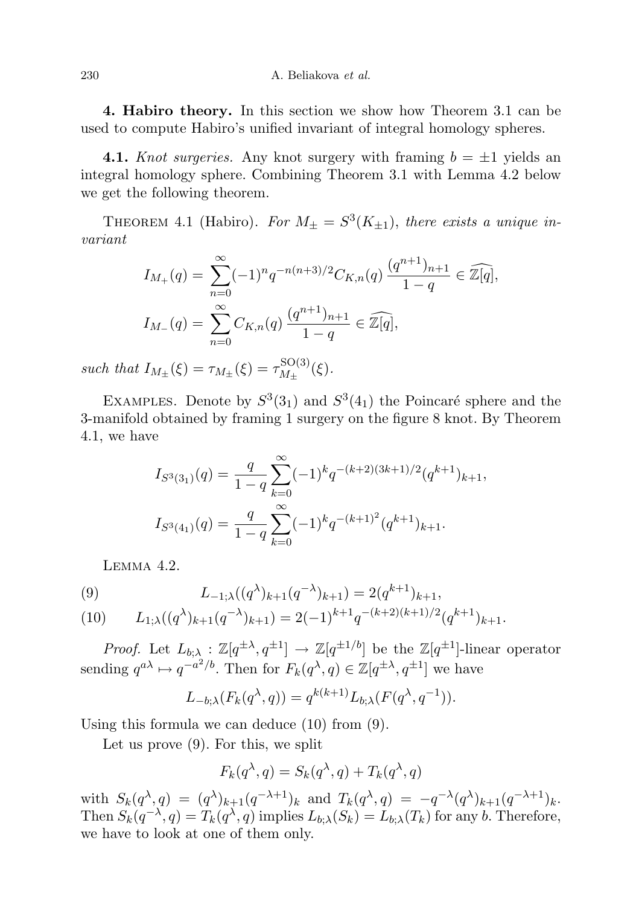230 A. Beliakova et al.

4. Habiro theory. In this section we show how Theorem 3.1 can be used to compute Habiro's unified invariant of integral homology spheres.

**4.1.** Knot surgeries. Any knot surgery with framing  $b = \pm 1$  yields an integral homology sphere. Combining Theorem 3.1 with Lemma 4.2 below we get the following theorem.

THEOREM 4.1 (Habiro). For  $M_{\pm} = S^3(K_{\pm 1})$ , there exists a unique invariant

$$
I_{M_{+}}(q) = \sum_{n=0}^{\infty} (-1)^{n} q^{-n(n+3)/2} C_{K,n}(q) \frac{(q^{n+1})_{n+1}}{1-q} \in \widehat{\mathbb{Z}[q]},
$$
  

$$
I_{M_{-}}(q) = \sum_{n=0}^{\infty} C_{K,n}(q) \frac{(q^{n+1})_{n+1}}{1-q} \in \widehat{\mathbb{Z}[q]},
$$

such that  $I_{M_{\pm}}(\xi) = \tau_{M_{\pm}}(\xi) = \tau_{M_{+}}^{\text{SO}(3)}$  $\frac{15O(3)}{M_{\pm}}(\xi).$ 

EXAMPLES. Denote by  $S^3(3_1)$  and  $S^3(4_1)$  the Poincaré sphere and the 3-manifold obtained by framing 1 surgery on the figure 8 knot. By Theorem 4.1, we have

$$
I_{S^3(3_1)}(q) = \frac{q}{1-q} \sum_{k=0}^{\infty} (-1)^k q^{-(k+2)(3k+1)/2} (q^{k+1})_{k+1},
$$
  

$$
I_{S^3(4_1)}(q) = \frac{q}{1-q} \sum_{k=0}^{\infty} (-1)^k q^{-(k+1)^2} (q^{k+1})_{k+1}.
$$

Lemma 4.2.

(9) 
$$
L_{-1;\lambda}((q^{\lambda})_{k+1}(q^{-\lambda})_{k+1}) = 2(q^{k+1})_{k+1},
$$

$$
L_{1;\lambda}((q^{\lambda})_{k+1}(q^{-\lambda})_{k+1}) = 2(-1)^{k+1}q^{-(k+2)(k+1)/2}(q^{k+1})_{k+1}.
$$

*Proof.* Let  $L_{b;\lambda}: \mathbb{Z}[q^{\pm\lambda}, q^{\pm 1}] \to \mathbb{Z}[q^{\pm 1/b}]$  be the  $\mathbb{Z}[q^{\pm 1}]$ -linear operator sending  $q^{a\lambda} \mapsto q^{-a^2/b}$ . Then for  $F_k(q^{\lambda}, q) \in \mathbb{Z}[q^{\pm \lambda}, q^{\pm 1}]$  we have

$$
L_{-b;\lambda}(F_k(q^{\lambda},q)) = q^{k(k+1)} L_{b;\lambda}(F(q^{\lambda},q^{-1})).
$$

Using this formula we can deduce (10) from (9).

Let us prove (9). For this, we split

$$
F_k(q^{\lambda}, q) = S_k(q^{\lambda}, q) + T_k(q^{\lambda}, q)
$$

with  $S_k(q^{\lambda}, q) = (q^{\lambda})_{k+1}(q^{-\lambda+1})_k$  and  $T_k(q^{\lambda}, q) = -q^{-\lambda}(q^{\lambda})_{k+1}(q^{-\lambda+1})_k$ . Then  $S_k(q^{-\lambda}, q) = T_k(q^{\lambda}, q)$  implies  $L_{b; \lambda}(S_k) = L_{b; \lambda}(T_k)$  for any b. Therefore, we have to look at one of them only.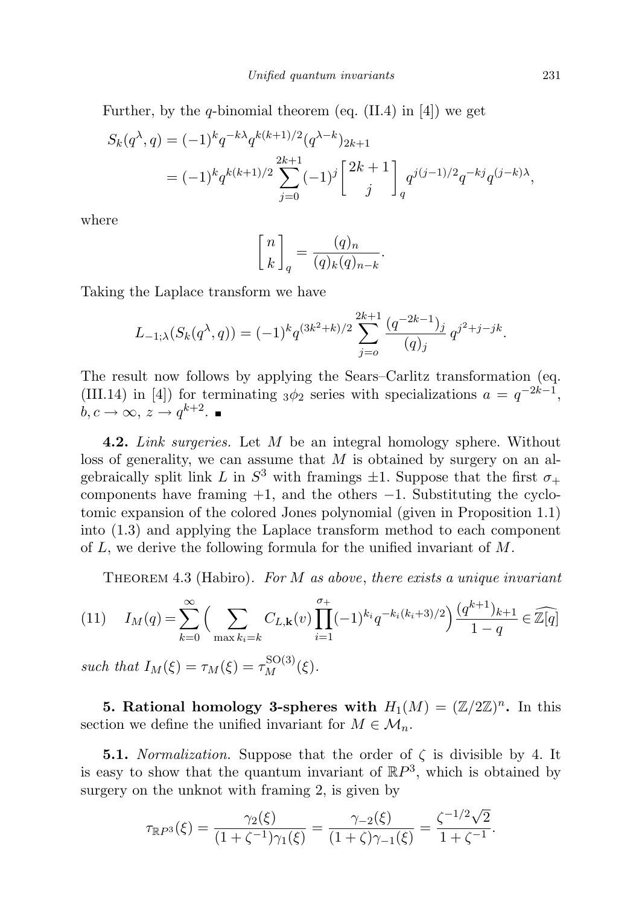Further, by the q-binomial theorem (eq.  $(II.4)$  in [4]) we get

$$
S_k(q^{\lambda}, q) = (-1)^k q^{-k\lambda} q^{k(k+1)/2} (q^{\lambda-k})_{2k+1}
$$
  
=  $(-1)^k q^{k(k+1)/2} \sum_{j=0}^{2k+1} (-1)^j \begin{bmatrix} 2k+1 \ j \end{bmatrix}_q q^{j(j-1)/2} q^{-kj} q^{(j-k)\lambda},$ 

where

$$
\begin{bmatrix} n \\ k \end{bmatrix}_q = \frac{(q)_n}{(q)_k (q)_{n-k}}.
$$

Taking the Laplace transform we have

$$
L_{-1;\lambda}(S_k(q^{\lambda},q)) = (-1)^k q^{(3k^2+k)/2} \sum_{j=0}^{2k+1} \frac{(q^{-2k-1})_j}{(q)_j} q^{j^2+j-jk}.
$$

The result now follows by applying the Sears–Carlitz transformation (eq. (III.14) in [4]) for terminating  $_3\phi_2$  series with specializations  $a = q^{-2k-1}$ ,  $b, c \rightarrow \infty, z \rightarrow q^{k+2}.$ 

**4.2.** Link surgeries. Let M be an integral homology sphere. Without loss of generality, we can assume that  $M$  is obtained by surgery on an algebraically split link L in  $S^3$  with framings  $\pm 1$ . Suppose that the first  $\sigma_+$ components have framing  $+1$ , and the others  $-1$ . Substituting the cyclotomic expansion of the colored Jones polynomial (given in Proposition 1.1) into (1.3) and applying the Laplace transform method to each component of  $L$ , we derive the following formula for the unified invariant of  $M$ .

THEOREM 4.3 (Habiro). For M as above, there exists a unique invariant

(11) 
$$
I_M(q) = \sum_{k=0}^{\infty} \left( \sum_{\max k_i = k} C_{L,\mathbf{k}}(v) \prod_{i=1}^{\sigma_+} (-1)^{k_i} q^{-k_i(k_i+3)/2} \right) \frac{(q^{k+1})_{k+1}}{1-q} \in \widehat{\mathbb{Z}[q]}
$$

such that  $I_M(\xi) = \tau_M(\xi) = \tau_M^{\text{SO}(3)}(\xi)$ .

**5. Rational homology 3-spheres with**  $H_1(M) = (\mathbb{Z}/2\mathbb{Z})^n$ . In this section we define the unified invariant for  $M \in \mathcal{M}_n$ .

**5.1.** Normalization. Suppose that the order of  $\zeta$  is divisible by 4. It is easy to show that the quantum invariant of  $\mathbb{R}P^3$ , which is obtained by surgery on the unknot with framing 2, is given by

$$
\tau_{\mathbb{R}P^3}(\xi) = \frac{\gamma_2(\xi)}{(1+\zeta^{-1})\gamma_1(\xi)} = \frac{\gamma_{-2}(\xi)}{(1+\zeta)\gamma_{-1}(\xi)} = \frac{\zeta^{-1/2}\sqrt{2}}{1+\zeta^{-1}}.
$$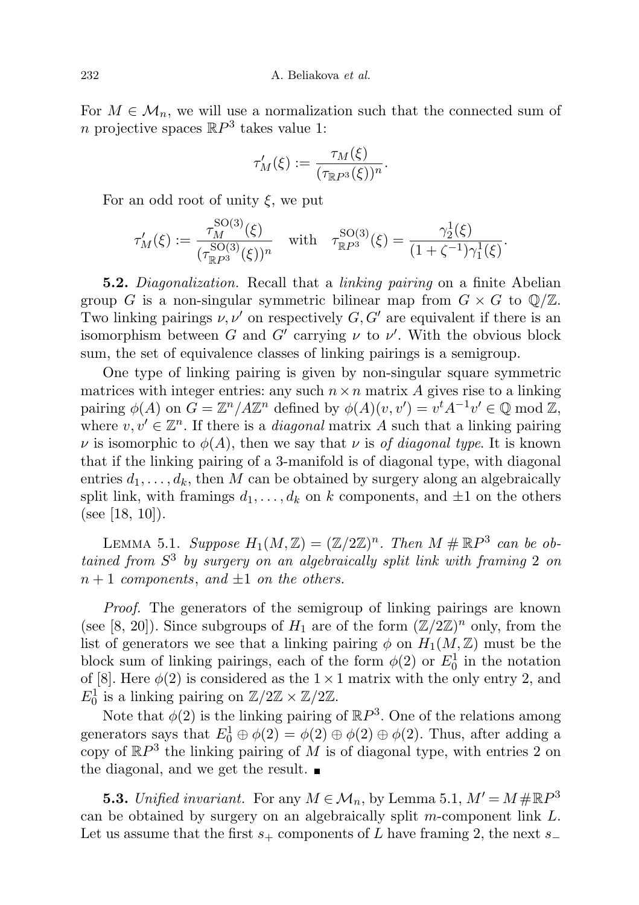For  $M \in \mathcal{M}_n$ , we will use a normalization such that the connected sum of n projective spaces  $\mathbb{R}P^3$  takes value 1:

$$
\tau'_M(\xi) := \frac{\tau_M(\xi)}{(\tau_{\mathbb{R}P^3}(\xi))^n}.
$$

For an odd root of unity  $\xi$ , we put

$$
\tau'_{M}(\xi) := \frac{\tau_{M}^{\text{SO}(3)}(\xi)}{(\tau_{\mathbb{R}P^3}^{\text{SO}(3)}(\xi))^n} \quad \text{with} \quad \tau_{\mathbb{R}P^3}^{\text{SO}(3)}(\xi) = \frac{\gamma_2^1(\xi)}{(1+\zeta^{-1})\gamma_1^1(\xi)}.
$$

**5.2.** Diagonalization. Recall that a linking pairing on a finite Abelian group G is a non-singular symmetric bilinear map from  $G \times G$  to  $\mathbb{Q}/\mathbb{Z}$ . Two linking pairings  $\nu, \nu'$  on respectively  $G, G'$  are equivalent if there is an isomorphism between G and G' carrying  $\nu$  to  $\nu'$ . With the obvious block sum, the set of equivalence classes of linking pairings is a semigroup.

One type of linking pairing is given by non-singular square symmetric matrices with integer entries: any such  $n \times n$  matrix A gives rise to a linking pairing  $\phi(A)$  on  $G = \mathbb{Z}^n / A \mathbb{Z}^n$  defined by  $\phi(A)(v, v') = v^t A^{-1} v' \in \mathbb{Q} \text{ mod } \mathbb{Z}$ , where  $v, v' \in \mathbb{Z}^n$ . If there is a *diagonal* matrix A such that a linking pairing  $\nu$  is isomorphic to  $\phi(A)$ , then we say that  $\nu$  is of diagonal type. It is known that if the linking pairing of a 3-manifold is of diagonal type, with diagonal entries  $d_1, \ldots, d_k$ , then M can be obtained by surgery along an algebraically split link, with framings  $d_1, \ldots, d_k$  on k components, and  $\pm 1$  on the others (see [18, 10]).

LEMMA 5.1. Suppose  $H_1(M, \mathbb{Z}) = (\mathbb{Z}/2\mathbb{Z})^n$ . Then  $M \# \mathbb{R}P^3$  can be obtained from  $S^3$  by surgery on an algebraically split link with framing 2 on  $n+1$  components, and  $\pm 1$  on the others.

Proof. The generators of the semigroup of linking pairings are known (see [8, 20]). Since subgroups of  $H_1$  are of the form  $(\mathbb{Z}/2\mathbb{Z})^n$  only, from the list of generators we see that a linking pairing  $\phi$  on  $H_1(M, \mathbb{Z})$  must be the block sum of linking pairings, each of the form  $\phi(2)$  or  $E_0^1$  in the notation of [8]. Here  $\phi(2)$  is considered as the  $1 \times 1$  matrix with the only entry 2, and  $E_0^1$  is a linking pairing on  $\mathbb{Z}/2\mathbb{Z} \times \mathbb{Z}/2\mathbb{Z}$ .

Note that  $\phi(2)$  is the linking pairing of  $\mathbb{R}P^3$ . One of the relations among generators says that  $E_0^1 \oplus \phi(2) = \phi(2) \oplus \phi(2) \oplus \phi(2)$ . Thus, after adding a copy of  $\mathbb{R}P^3$  the linking pairing of M is of diagonal type, with entries 2 on the diagonal, and we get the result.  $\blacksquare$ 

**5.3.** Unified invariant. For any  $M \in \mathcal{M}_n$ , by Lemma 5.1,  $M' = M \# \mathbb{R}P^3$ can be obtained by surgery on an algebraically split m-component link L. Let us assume that the first  $s_+$  components of L have framing 2, the next  $s_-\$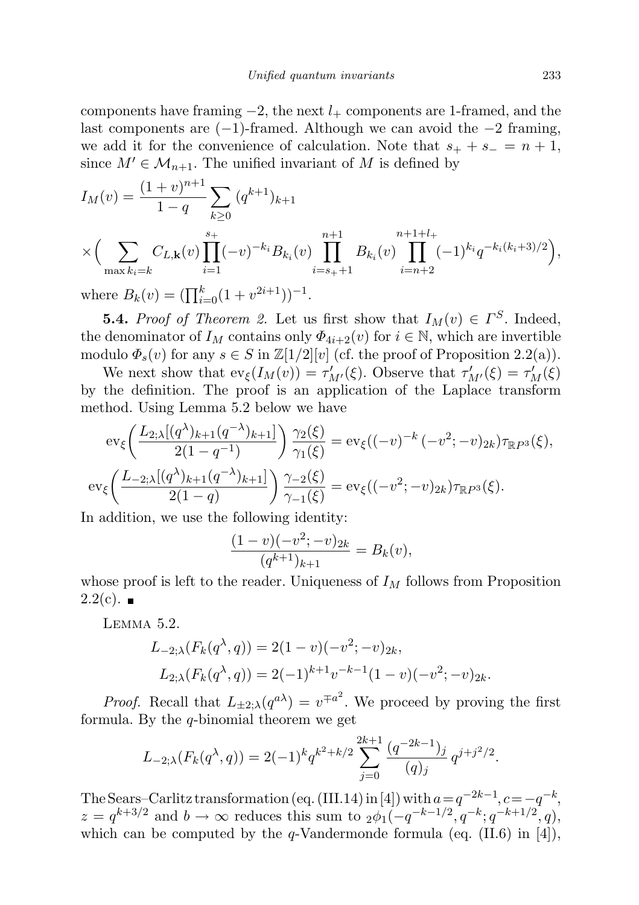components have framing  $-2$ , the next  $l_+$  components are 1-framed, and the last components are  $(-1)$ -framed. Although we can avoid the  $-2$  framing, we add it for the convenience of calculation. Note that  $s_{+} + s_{-} = n + 1$ , since  $M' \in \mathcal{M}_{n+1}$ . The unified invariant of M is defined by

$$
I_M(v) = \frac{(1+v)^{n+1}}{1-q} \sum_{k\geq 0} (q^{k+1})_{k+1}
$$
  
 
$$
\times \Big( \sum_{\max k_i=k} C_{L,\mathbf{k}}(v) \prod_{i=1}^{s_+} (-v)^{-k_i} B_{k_i}(v) \prod_{i=s_++1}^{n+1} B_{k_i}(v) \prod_{i=n+2}^{n+1+l_+} (-1)^{k_i} q^{-k_i(k_i+3)/2} \Big),
$$

where  $B_k(v) = (\prod_{i=0}^k (1 + v^{2i+1}))^{-1}$ .

**5.4.** Proof of Theorem 2. Let us first show that  $I_M(v) \in \Gamma^S$ . Indeed, the denominator of  $I_M$  contains only  $\Phi_{4i+2}(v)$  for  $i \in \mathbb{N}$ , which are invertible modulo  $\Phi_s(v)$  for any  $s \in S$  in  $\mathbb{Z}[1/2][v]$  (cf. the proof of Proposition 2.2(a)).

We next show that  $ev_{\xi}(I_M(v)) = \tau'_{M'}(\xi)$ . Observe that  $\tau'_{M'}(\xi) = \tau'_{M}(\xi)$ by the definition. The proof is an application of the Laplace transform method. Using Lemma 5.2 below we have

$$
ev_{\xi}\left(\frac{L_{2;\lambda}[(q^{\lambda})_{k+1}(q^{-\lambda})_{k+1}]}{2(1-q^{-1})}\right)\frac{\gamma_2(\xi)}{\gamma_1(\xi)} = ev_{\xi}\left((-v)^{-k}(-v^2; -v)_{2k}\right)\tau_{\mathbb{R}P^3}(\xi),
$$
  

$$
ev_{\xi}\left(\frac{L_{-2;\lambda}[(q^{\lambda})_{k+1}(q^{-\lambda})_{k+1}]}{2(1-q)}\right)\frac{\gamma_{-2}(\xi)}{\gamma_{-1}(\xi)} = ev_{\xi}\left((-v^2; -v)_{2k}\right)\tau_{\mathbb{R}P^3}(\xi).
$$

In addition, we use the following identity:

$$
\frac{(1-v)(-v^2; -v)_{2k}}{(q^{k+1})_{k+1}} = B_k(v),
$$

whose proof is left to the reader. Uniqueness of  $I_M$  follows from Proposition  $2.2(c).$ 

Lemma 5.2.

$$
L_{-2;\lambda}(F_k(q^{\lambda}, q)) = 2(1 - v)(-v^2; -v)_{2k},
$$
  
\n
$$
L_{2;\lambda}(F_k(q^{\lambda}, q)) = 2(-1)^{k+1}v^{-k-1}(1 - v)(-v^2; -v)_{2k}.
$$

*Proof.* Recall that  $L_{\pm 2;\lambda}(q^{a\lambda}) = v^{\mp a^2}$ . We proceed by proving the first formula. By the  $q$ -binomial theorem we get

$$
L_{-2;\lambda}(F_k(q^{\lambda},q)) = 2(-1)^k q^{k^2+k/2} \sum_{j=0}^{2k+1} \frac{(q^{-2k-1})_j}{(q)_j} q^{j+j^2/2}.
$$

The Sears–Carlitz transformation (eq. (III.14) in [4]) with  $a = q^{-2k-1}$ ,  $c = -q^{-k}$ ,  $z = q^{k+3/2}$  and  $b \to \infty$  reduces this sum to  ${}_2\phi_1(-q^{-k-1/2}, q^{-k}; q^{-k+1/2}, q)$ , which can be computed by the  $q$ -Vandermonde formula (eq. (II.6) in [4]),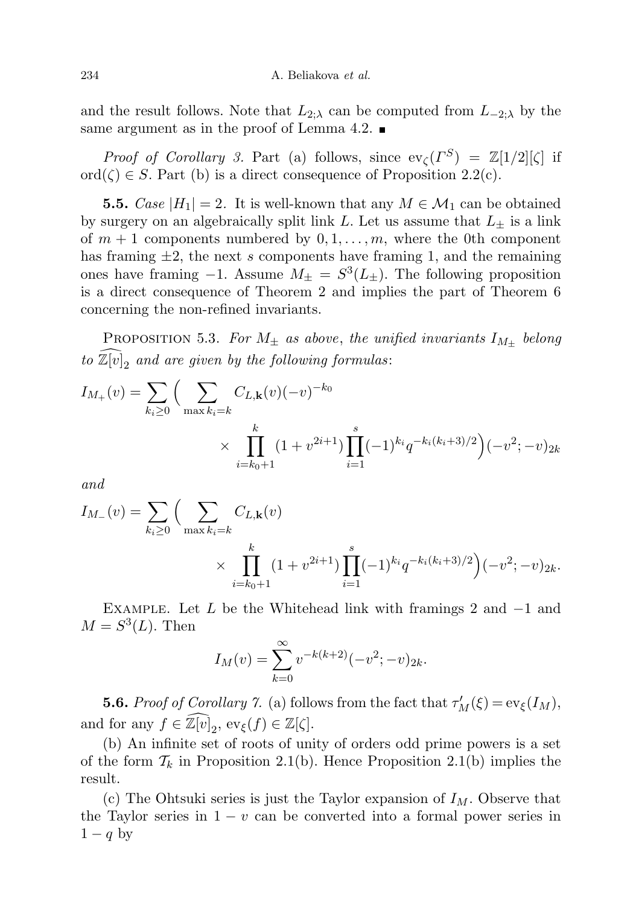and the result follows. Note that  $L_{2;\lambda}$  can be computed from  $L_{-2;\lambda}$  by the same argument as in the proof of Lemma 4.2.  $\blacksquare$ 

*Proof of Corollary 3.* Part (a) follows, since  $ev_{\zeta}(\Gamma^S) = \mathbb{Z}[1/2][\zeta]$  if ord( $\zeta$ )  $\in$  S. Part (b) is a direct consequence of Proposition 2.2(c).

**5.5.** Case  $|H_1| = 2$ . It is well-known that any  $M \in \mathcal{M}_1$  can be obtained by surgery on an algebraically split link L. Let us assume that  $L_{\pm}$  is a link of  $m+1$  components numbered by  $0, 1, \ldots, m$ , where the 0th component has framing  $\pm 2$ , the next s components have framing 1, and the remaining ones have framing  $-1$ . Assume  $M_{\pm} = S^3(L_{\pm})$ . The following proposition is a direct consequence of Theorem 2 and implies the part of Theorem 6 concerning the non-refined invariants.

PROPOSITION 5.3. For  $M_{\pm}$  as above, the unified invariants  $I_{M_{\pm}}$  belong to  $\mathbb{Z}[\overline{v}]_2$  and are given by the following formulas:

$$
I_{M_{+}}(v) = \sum_{k_{i} \ge 0} \left( \sum_{\max k_{i} = k} C_{L, \mathbf{k}}(v) (-v)^{-k_{0}} \times \prod_{i=k_{0}+1}^{k} (1 + v^{2i+1}) \prod_{i=1}^{s} (-1)^{k_{i}} q^{-k_{i}(k_{i}+3)/2} \right) (-v^{2}; -v)_{2k}
$$

and

$$
I_{M_{-}}(v) = \sum_{k_{i} \ge 0} \Big( \sum_{\max k_{i} = k} C_{L, \mathbf{k}}(v) + \sum_{\substack{k \\ i = k_{0} + 1}}^{k} (1 + v^{2i+1}) \prod_{i=1}^{s} (-1)^{k_{i}} q^{-k_{i}(k_{i} + 3)/2} \Big) (-v^{2}; -v)_{2k}.
$$

EXAMPLE. Let L be the Whitehead link with framings 2 and  $-1$  and  $M = S<sup>3</sup>(L)$ . Then

$$
I_M(v) = \sum_{k=0}^{\infty} v^{-k(k+2)} (-v^2; -v)_{2k}.
$$

**5.6.** Proof of Corollary 7. (a) follows from the fact that  $\tau'_M(\xi) = \text{ev}_{\xi}(I_M)$ , and for any  $f \in \overline{\mathbb{Z}}[\overline{v}]_2$ ,  $ev_{\xi}(f) \in \mathbb{Z}[\zeta]$ .

(b) An infinite set of roots of unity of orders odd prime powers is a set of the form  $\mathcal{T}_k$  in Proposition 2.1(b). Hence Proposition 2.1(b) implies the result.

(c) The Ohtsuki series is just the Taylor expansion of  $I_M$ . Observe that the Taylor series in  $1 - v$  can be converted into a formal power series in  $1 - q$  by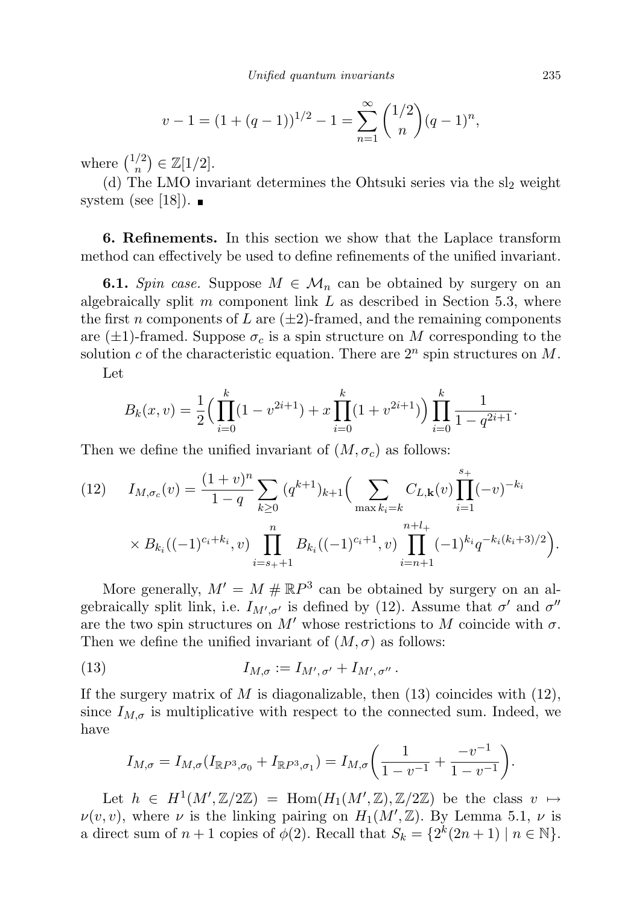$$
v - 1 = (1 + (q - 1))^{1/2} - 1 = \sum_{n=1}^{\infty} {1/2 \choose n} (q - 1)^n,
$$

where  $\binom{1/2}{n}$  $n^{2}$ )  $\in \mathbb{Z}[1/2].$ 

(d) The LMO invariant determines the Ohtsuki series via the  $sl_2$  weight system (see [18]).  $\blacksquare$ 

6. Refinements. In this section we show that the Laplace transform method can effectively be used to define refinements of the unified invariant.

**6.1.** Spin case. Suppose  $M \in \mathcal{M}_n$  can be obtained by surgery on an algebraically split  $m$  component link  $L$  as described in Section 5.3, where the first n components of L are  $(\pm 2)$ -framed, and the remaining components are  $(\pm 1)$ -framed. Suppose  $\sigma_c$  is a spin structure on M corresponding to the solution c of the characteristic equation. There are  $2^n$  spin structures on M.

Let

$$
B_k(x,v) = \frac{1}{2} \Big( \prod_{i=0}^k (1 - v^{2i+1}) + x \prod_{i=0}^k (1 + v^{2i+1}) \Big) \prod_{i=0}^k \frac{1}{1 - q^{2i+1}}.
$$

Then we define the unified invariant of  $(M, \sigma_c)$  as follows:

(12) 
$$
I_{M,\sigma_c}(v) = \frac{(1+v)^n}{1-q} \sum_{k\geq 0} (q^{k+1})_{k+1} \Big( \sum_{\max k_i=k} C_{L,\mathbf{k}}(v) \prod_{i=1}^{s_+} (-v)^{-k_i} \times B_{k_i}((-1)^{c_i+k_i}, v) \prod_{i=s_++1}^n B_{k_i}((-1)^{c_i+1}, v) \prod_{i=n+1}^{n+l_+} (-1)^{k_i} q^{-k_i(k_i+3)/2} \Big).
$$

More generally,  $M' = M \# \mathbb{R}P^3$  can be obtained by surgery on an algebraically split link, i.e.  $I_{M',\sigma'}$  is defined by (12). Assume that  $\sigma'$  and  $\sigma''$ are the two spin structures on M' whose restrictions to M coincide with  $\sigma$ . Then we define the unified invariant of  $(M, \sigma)$  as follows:

(13) 
$$
I_{M,\sigma} := I_{M',\sigma'} + I_{M',\sigma''}.
$$

If the surgery matrix of M is diagonalizable, then  $(13)$  coincides with  $(12)$ , since  $I_{M,\sigma}$  is multiplicative with respect to the connected sum. Indeed, we have

$$
I_{M,\sigma} = I_{M,\sigma}(I_{\mathbb{R}P^3,\sigma_0} + I_{\mathbb{R}P^3,\sigma_1}) = I_{M,\sigma}\left(\frac{1}{1-v^{-1}} + \frac{-v^{-1}}{1-v^{-1}}\right).
$$

Let  $h \in H^1(M', \mathbb{Z}/2\mathbb{Z}) = \text{Hom}(H_1(M', \mathbb{Z}), \mathbb{Z}/2\mathbb{Z})$  be the class  $v \mapsto$  $\nu(v, v)$ , where  $\nu$  is the linking pairing on  $H_1(M', \mathbb{Z})$ . By Lemma 5.1,  $\nu$  is a direct sum of  $n+1$  copies of  $\phi(2)$ . Recall that  $S_k = \{2^k(2n+1) \mid n \in \mathbb{N}\}.$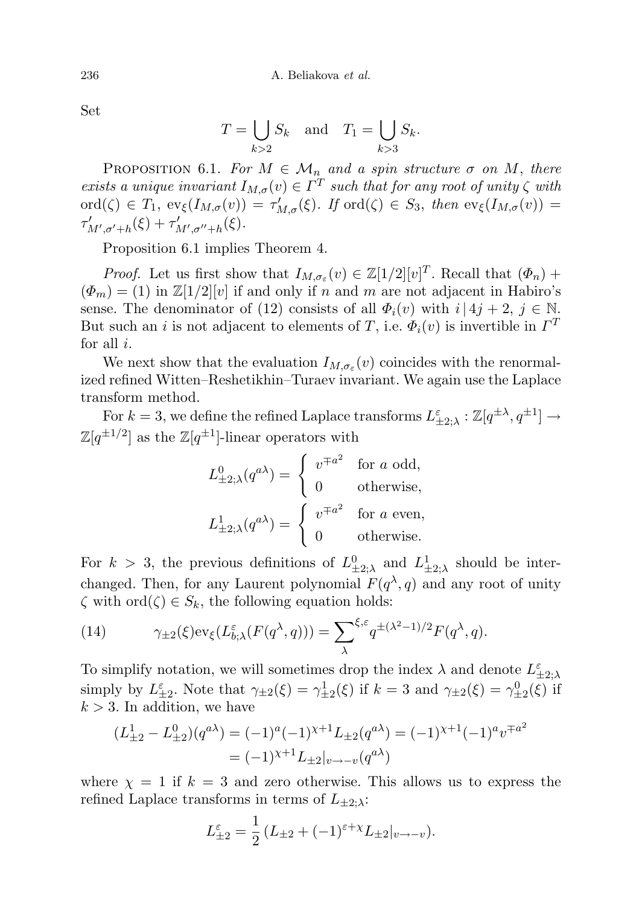Set

$$
T = \bigcup_{k>2} S_k \quad \text{and} \quad T_1 = \bigcup_{k>3} S_k.
$$

PROPOSITION 6.1. For  $M \in \mathcal{M}_n$  and a spin structure  $\sigma$  on M, there exists a unique invariant  $I_{M,\sigma}(v) \in \Gamma^T$  such that for any root of unity  $\zeta$  with  $\mathrm{ord}(\zeta) \in T_1, \, \mathrm{ev}_{\xi}(I_{M,\sigma}(v)) = \tau'_{M,\sigma}(\xi). \, \text{ If } \mathrm{ord}(\zeta) \in S_3, \text{ then } \mathrm{ev}_{\xi}(I_{M,\sigma}(v)) =$  $\tau'_{M',\sigma'+h}(\xi) + \tau'_{M',\sigma''+h}(\xi).$ 

Proposition 6.1 implies Theorem 4.

*Proof.* Let us first show that  $I_{M,\sigma_{\varepsilon}}(v) \in \mathbb{Z}[1/2][v]^T$ . Recall that  $(\Phi_n)$  +  $(\Phi_m) = (1)$  in  $\mathbb{Z}[1/2][v]$  if and only if n and m are not adjacent in Habiro's sense. The denominator of (12) consists of all  $\Phi_i(v)$  with  $i \mid 4j + 2, j \in \mathbb{N}$ . But such an *i* is not adjacent to elements of T, i.e.  $\Phi_i(v)$  is invertible in  $\Gamma^T$ for all i.

We next show that the evaluation  $I_{M,\sigma_{\varepsilon}}(v)$  coincides with the renormalized refined Witten–Reshetikhin–Turaev invariant. We again use the Laplace transform method.

For  $k=3$ , we define the refined Laplace transforms  $L_{\pm 2;\lambda}^\varepsilon:\mathbb{Z}[q^{\pm\lambda},q^{\pm 1}]\to$  $\mathbb{Z}[q^{\pm 1/2}]$  as the  $\mathbb{Z}[q^{\pm 1}]$ -linear operators with

$$
L_{\pm 2;\lambda}^{0}(q^{a\lambda}) = \begin{cases} v^{\mp a^{2}} & \text{for } a \text{ odd,} \\ 0 & \text{otherwise,} \end{cases}
$$
  

$$
L_{\pm 2;\lambda}^{1}(q^{a\lambda}) = \begin{cases} v^{\mp a^{2}} & \text{for } a \text{ even,} \\ 0 & \text{otherwise.} \end{cases}
$$

For  $k > 3$ , the previous definitions of  $L^0_{\pm 2;\lambda}$  and  $L^1_{\pm 2;\lambda}$  should be interchanged. Then, for any Laurent polynomial  $F(q^{\lambda}, q)$  and any root of unity  $\zeta$  with ord $(\zeta) \in S_k$ , the following equation holds:

(14) 
$$
\gamma_{\pm 2}(\xi) \text{ev}_{\xi}(L^{\varepsilon}_{b;\lambda}(F(q^{\lambda},q))) = \sum_{\lambda}^{\xi,\varepsilon} q^{\pm(\lambda^2-1)/2} F(q^{\lambda},q).
$$

To simplify notation, we will sometimes drop the index  $\lambda$  and denote  $L_{\pm 2,\lambda}^{\varepsilon}$ simply by  $L_{\pm 2}^{\varepsilon}$ . Note that  $\gamma_{\pm 2}(\xi) = \gamma_{\pm 2}^1(\xi)$  if  $k = 3$  and  $\gamma_{\pm 2}(\xi) = \gamma_{\pm 2}^0(\xi)$  if  $k > 3$ . In addition, we have

$$
(L_{\pm 2}^1 - L_{\pm 2}^0)(q^{a\lambda}) = (-1)^a (-1)^{\chi+1} L_{\pm 2}(q^{a\lambda}) = (-1)^{\chi+1} (-1)^a v^{\mp a^2}
$$

$$
= (-1)^{\chi+1} L_{\pm 2}|_{v \to -v}(q^{a\lambda})
$$

where  $\chi = 1$  if  $k = 3$  and zero otherwise. This allows us to express the refined Laplace transforms in terms of  $L_{\pm 2;\lambda}$ :

$$
L_{\pm 2}^{\varepsilon} = \frac{1}{2} \left( L_{\pm 2} + (-1)^{\varepsilon + \chi} L_{\pm 2} |_{v \to -v} \right).
$$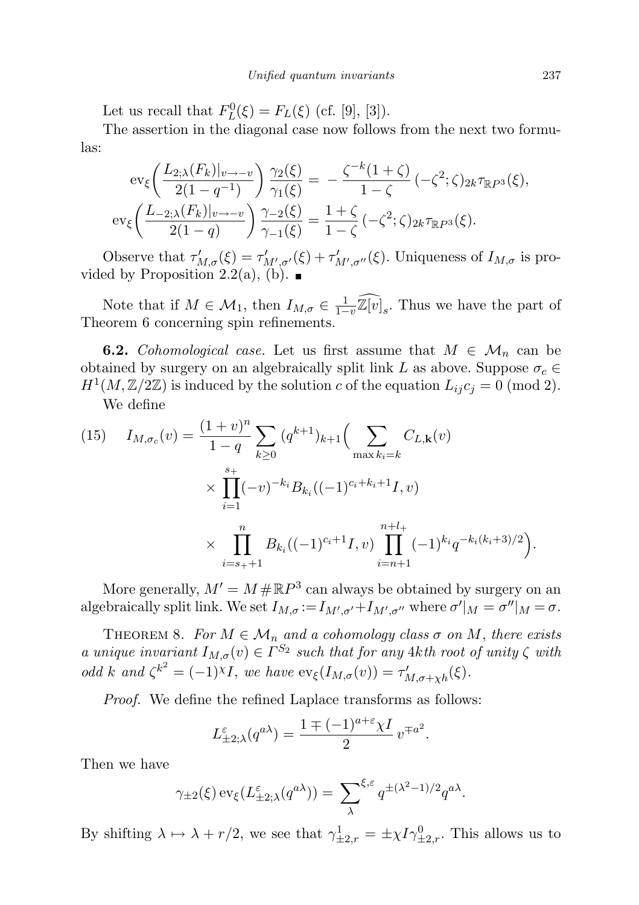Let us recall that  $F_L^0(\xi) = F_L(\xi)$  (cf. [9], [3]).

The assertion in the diagonal case now follows from the next two formulas:

$$
\operatorname{ev}_{\xi}\left(\frac{L_{2;\lambda}(F_k)|_{v\to-v}}{2(1-q^{-1})}\right)\frac{\gamma_2(\xi)}{\gamma_1(\xi)} = -\frac{\zeta^{-k}(1+\zeta)}{1-\zeta}\left(-\zeta^2;\zeta\right)_{2k}\tau_{\mathbb{R}P^3}(\xi),
$$
  

$$
\operatorname{ev}_{\xi}\left(\frac{L_{-2;\lambda}(F_k)|_{v\to-v}}{2(1-q)}\right)\frac{\gamma_{-2}(\xi)}{\gamma_{-1}(\xi)} = \frac{1+\zeta}{1-\zeta}\left(-\zeta^2;\zeta\right)_{2k}\tau_{\mathbb{R}P^3}(\xi).
$$

Observe that  $\tau'_{M,\sigma}(\xi) = \tau'_{M',\sigma'}(\xi) + \tau'_{M',\sigma''}(\xi)$ . Uniqueness of  $I_{M,\sigma}$  is provided by Proposition 2.2(a), (b).  $\blacksquare$ 

Note that if  $M \in \mathcal{M}_1$ , then  $I_{M,\sigma} \in \frac{1}{1-v}\widetilde{\mathbb{Z}}[\widetilde{v}]_s$ . Thus we have the part of Theorem 6 concerning spin refinements.

**6.2.** Cohomological case. Let us first assume that  $M \in \mathcal{M}_n$  can be obtained by surgery on an algebraically split link L as above. Suppose  $\sigma_c \in$  $H^1(M, \mathbb{Z}/2\mathbb{Z})$  is induced by the solution c of the equation  $L_{ij}c_j = 0 \pmod{2}$ .

We define

(15) 
$$
I_{M,\sigma_c}(v) = \frac{(1+v)^n}{1-q} \sum_{k\geq 0} (q^{k+1})_{k+1} \Big( \sum_{\max k_i=k} C_{L,\mathbf{k}}(v) + \sum_{i=1}^{s_+} (-v)^{-k_i} B_{k_i}((-1)^{c_i+k_i+1} I, v) + \sum_{i=s_++1}^{n} B_{k_i}((-1)^{c_i+1} I, v) \prod_{i=n+1}^{n+l_+} (-1)^{k_i} q^{-k_i(k_i+3)/2} \Big).
$$

More generally,  $M' = M \# \mathbb{R}P^3$  can always be obtained by surgery on an algebraically split link. We set  $I_{M,\sigma} := I_{M',\sigma'} + I_{M',\sigma''}$  where  $\sigma'|_M = \sigma''|_M = \sigma$ .

THEOREM 8. For  $M \in \mathcal{M}_n$  and a cohomology class  $\sigma$  on  $M$ , there exists a unique invariant  $I_{M,\sigma}(v) \in \Gamma^{S_2}$  such that for any 4kth root of unity  $\zeta$  with odd k and  $\zeta^{k^2} = (-1)^{\chi} I$ , we have  $\operatorname{ev}_{\xi}(I_{M,\sigma}(v)) = \tau'_{M,\sigma + \chi h}(\xi)$ .

Proof. We define the refined Laplace transforms as follows:

$$
L_{\pm 2;\lambda}^\varepsilon(q^{a\lambda})=\frac{1\mp(-1)^{a+\varepsilon}\chi I}{2}\,v^{\mp a^2}.
$$

Then we have

$$
\gamma_{\pm 2}(\xi) \operatorname{ev}_{\xi}(L^{\varepsilon}_{\pm 2;\lambda}(q^{a\lambda})) = \sum_{\lambda}^{\xi,\varepsilon} q^{\pm(\lambda^2-1)/2} q^{a\lambda}.
$$

By shifting  $\lambda \mapsto \lambda + r/2$ , we see that  $\gamma_{\pm 2,r}^1 = \pm \chi I \gamma_{\pm 2,r}^0$ . This allows us to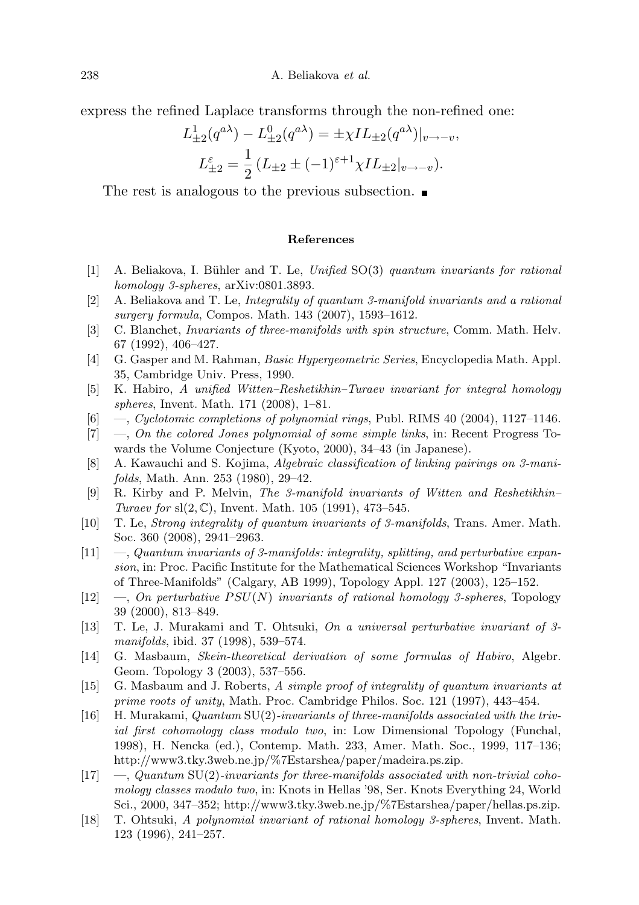238 A. Beliakova et al.

express the refined Laplace transforms through the non-refined one:

$$
L_{\pm 2}^{1}(q^{a\lambda}) - L_{\pm 2}^{0}(q^{a\lambda}) = \pm \chi IL_{\pm 2}(q^{a\lambda})|_{v \to -v},
$$
  

$$
L_{\pm 2}^{\varepsilon} = \frac{1}{2} (L_{\pm 2} \pm (-1)^{\varepsilon+1} \chi IL_{\pm 2}|_{v \to -v}).
$$

The rest is analogous to the previous subsection.

## References

- [1] A. Beliakova, I. Bühler and T. Le, Unified SO(3) quantum invariants for rational homology 3-spheres, arXiv:0801.3893.
- [2] A. Beliakova and T. Le, Integrality of quantum 3-manifold invariants and a rational surgery formula, Compos. Math. 143 (2007), 1593–1612.
- [3] C. Blanchet, Invariants of three-manifolds with spin structure, Comm. Math. Helv. 67 (1992), 406–427.
- [4] G. Gasper and M. Rahman, Basic Hypergeometric Series, Encyclopedia Math. Appl. 35, Cambridge Univ. Press, 1990.
- [5] K. Habiro, A unified Witten–Reshetikhin–Turaev invariant for integral homology spheres, Invent. Math. 171 (2008), 1–81.
- $[6] \quad$ —, Cyclotomic completions of polynomial rings, Publ. RIMS 40 (2004), 1127–1146.
- [7] —, On the colored Jones polynomial of some simple links, in: Recent Progress Towards the Volume Conjecture (Kyoto, 2000), 34–43 (in Japanese).
- [8] A. Kawauchi and S. Kojima, Algebraic classification of linking pairings on 3-manifolds, Math. Ann. 253 (1980), 29–42.
- [9] R. Kirby and P. Melvin, The 3-manifold invariants of Witten and Reshetikhin– Turaev for  $sl(2, \mathbb{C})$ , Invent. Math. 105 (1991), 473-545.
- [10] T. Le, Strong integrality of quantum invariants of 3-manifolds, Trans. Amer. Math. Soc. 360 (2008), 2941–2963.
- [11] —, Quantum invariants of 3-manifolds: integrality, splitting, and perturbative expansion, in: Proc. Pacific Institute for the Mathematical Sciences Workshop "Invariants of Three-Manifolds" (Calgary, AB 1999), Topology Appl. 127 (2003), 125–152.
- $[12] \quad \text{---}, \text{ On perturbative } \text{PSU}(N) \text{ invariants of rational homology 3-spheres, Topology}$ 39 (2000), 813–849.
- [13] T. Le, J. Murakami and T. Ohtsuki, On a universal perturbative invariant of 3 manifolds, ibid. 37 (1998), 539–574.
- [14] G. Masbaum, Skein-theoretical derivation of some formulas of Habiro, Algebr. Geom. Topology 3 (2003), 537–556.
- [15] G. Masbaum and J. Roberts, A simple proof of integrality of quantum invariants at prime roots of unity, Math. Proc. Cambridge Philos. Soc. 121 (1997), 443–454.
- [16] H. Murakami, Quantum SU(2)-invariants of three-manifolds associated with the trivial first cohomology class modulo two, in: Low Dimensional Topology (Funchal, 1998), H. Nencka (ed.), Contemp. Math. 233, Amer. Math. Soc., 1999, 117–136; http://www3.tky.3web.ne.jp/%7Estarshea/paper/madeira.ps.zip.
- [17] —, Quantum SU(2)-invariants for three-manifolds associated with non-trivial cohomology classes modulo two, in: Knots in Hellas '98, Ser. Knots Everything 24, World Sci., 2000, 347–352; http://www3.tky.3web.ne.jp/%7Estarshea/paper/hellas.ps.zip.
- [18] T. Ohtsuki, A polynomial invariant of rational homology 3-spheres, Invent. Math. 123 (1996), 241–257.